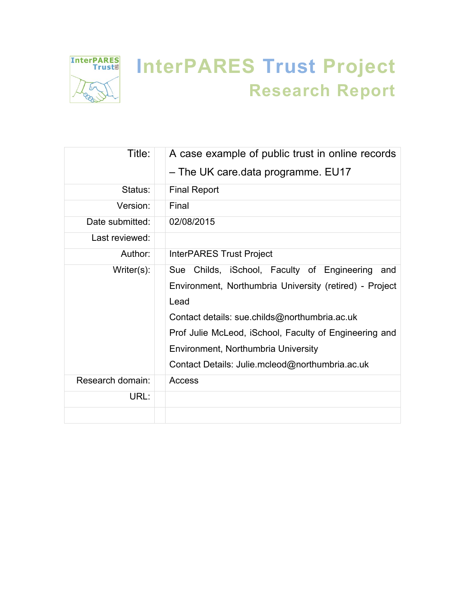

# **InterPARES Trust Project Research Report**

| Title:           | A case example of public trust in online records<br>- The UK care.data programme. EU17                                                                                                                                                                                                                                     |
|------------------|----------------------------------------------------------------------------------------------------------------------------------------------------------------------------------------------------------------------------------------------------------------------------------------------------------------------------|
| Status:          | <b>Final Report</b>                                                                                                                                                                                                                                                                                                        |
| Version:         | Final                                                                                                                                                                                                                                                                                                                      |
| Date submitted:  | 02/08/2015                                                                                                                                                                                                                                                                                                                 |
| Last reviewed:   |                                                                                                                                                                                                                                                                                                                            |
| Author:          | <b>InterPARES Trust Project</b>                                                                                                                                                                                                                                                                                            |
| Writer $(s)$ :   | Sue Childs, iSchool, Faculty of Engineering<br>and<br>Environment, Northumbria University (retired) - Project<br>Lead<br>Contact details: sue.childs@northumbria.ac.uk<br>Prof Julie McLeod, iSchool, Faculty of Engineering and<br>Environment, Northumbria University<br>Contact Details: Julie.mcleod@northumbria.ac.uk |
| Research domain: | Access                                                                                                                                                                                                                                                                                                                     |
| URL:             |                                                                                                                                                                                                                                                                                                                            |
|                  |                                                                                                                                                                                                                                                                                                                            |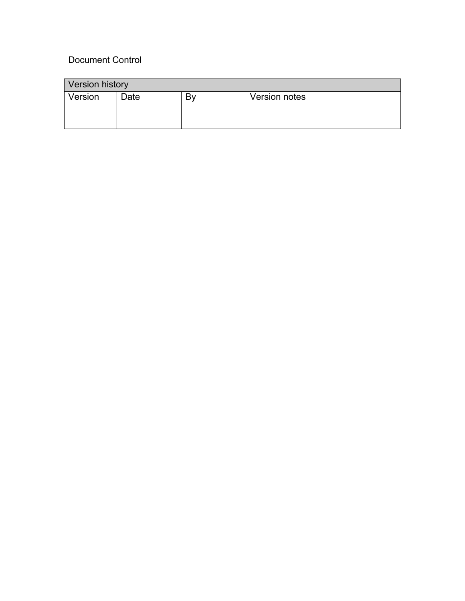# Document Control

| <b>Version history</b> |      |    |               |  |  |
|------------------------|------|----|---------------|--|--|
| Version                | Date | B۷ | Version notes |  |  |
|                        |      |    |               |  |  |
|                        |      |    |               |  |  |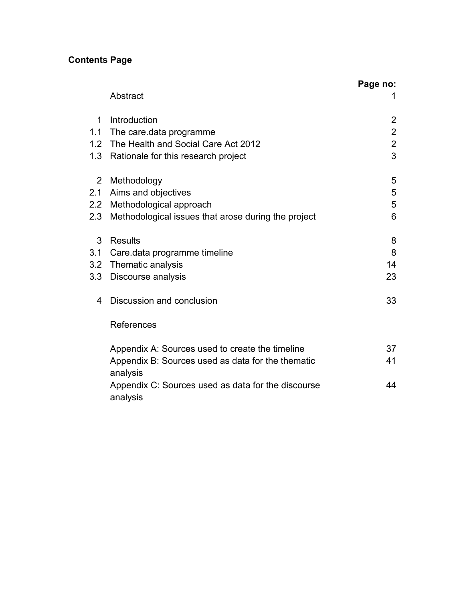# **Contents Page**

|                | Abstract                                                       | Page no:       |
|----------------|----------------------------------------------------------------|----------------|
|                |                                                                |                |
| $\mathbf{1}$   | Introduction                                                   | $\overline{2}$ |
| 1.1            | The care data programme                                        | $\overline{2}$ |
|                | 1.2 The Health and Social Care Act 2012                        | $\overline{2}$ |
| 1.3            | Rationale for this research project                            | 3              |
| $\overline{2}$ | Methodology                                                    | 5              |
| 2.1            | Aims and objectives                                            | 5              |
| 2.2            | Methodological approach                                        | 5              |
| 2.3            | Methodological issues that arose during the project            | 6              |
| 3              | Results                                                        | 8              |
| 3.1            | Care data programme timeline                                   | 8              |
|                | 3.2 Thematic analysis                                          | 14             |
| 3.3            | Discourse analysis                                             | 23             |
| 4              | Discussion and conclusion                                      | 33             |
|                | References                                                     |                |
|                | Appendix A: Sources used to create the timeline                | 37             |
|                | Appendix B: Sources used as data for the thematic<br>analysis  | 41             |
|                | Appendix C: Sources used as data for the discourse<br>analysis | 44             |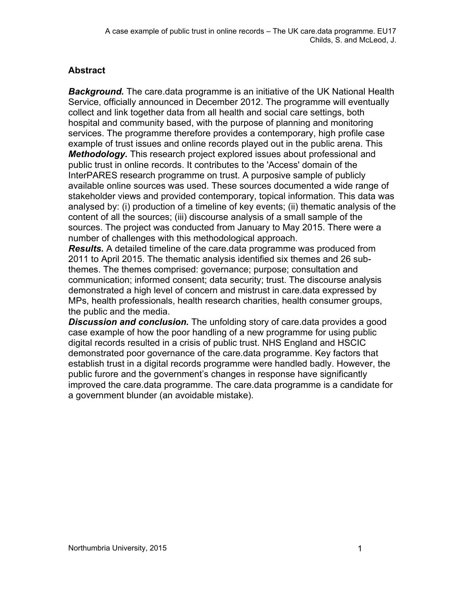## **Abstract**

**Background.** The care data programme is an initiative of the UK National Health Service, officially announced in December 2012. The programme will eventually collect and link together data from all health and social care settings, both hospital and community based, with the purpose of planning and monitoring services. The programme therefore provides a contemporary, high profile case example of trust issues and online records played out in the public arena. This *Methodology.* This research project explored issues about professional and public trust in online records. It contributes to the 'Access' domain of the InterPARES research programme on trust. A purposive sample of publicly available online sources was used. These sources documented a wide range of stakeholder views and provided contemporary, topical information. This data was analysed by: (i) production of a timeline of key events; (ii) thematic analysis of the content of all the sources; (iii) discourse analysis of a small sample of the sources. The project was conducted from January to May 2015. There were a number of challenges with this methodological approach.

*Results.* A detailed timeline of the care.data programme was produced from 2011 to April 2015. The thematic analysis identified six themes and 26 subthemes. The themes comprised: governance; purpose; consultation and communication; informed consent; data security; trust. The discourse analysis demonstrated a high level of concern and mistrust in care.data expressed by MPs, health professionals, health research charities, health consumer groups, the public and the media.

*Discussion and conclusion.* The unfolding story of care.data provides a good case example of how the poor handling of a new programme for using public digital records resulted in a crisis of public trust. NHS England and HSCIC demonstrated poor governance of the care.data programme. Key factors that establish trust in a digital records programme were handled badly. However, the public furore and the government's changes in response have significantly improved the care.data programme. The care.data programme is a candidate for a government blunder (an avoidable mistake).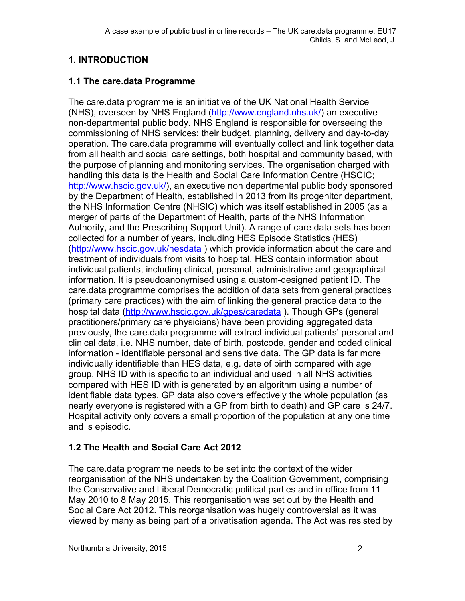# **1. INTRODUCTION**

#### **1.1 The care.data Programme**

The care.data programme is an initiative of the UK National Health Service (NHS), overseen by NHS England [\(http://www.england.nhs.uk/\)](http://www.england.nhs.uk/) an executive non-departmental public body. NHS England is responsible for overseeing the commissioning of NHS services: their budget, planning, delivery and day-to-day operation. The care.data programme will eventually collect and link together data from all health and social care settings, both hospital and community based, with the purpose of planning and monitoring services. The organisation charged with handling this data is the Health and Social Care Information Centre (HSCIC; [http://www.hscic.gov.uk/\)](http://www.hscic.gov.uk/), an executive non departmental public body sponsored by the Department of Health, established in 2013 from its progenitor department, the NHS Information Centre (NHSIC) which was itself established in 2005 (as a merger of parts of the Department of Health, parts of the NHS Information Authority, and the Prescribing Support Unit). A range of care data sets has been collected for a number of years, including HES Episode Statistics (HES) [\(http://www.hscic.gov.uk/hesdata](http://www.hscic.gov.uk/hesdata) ) which provide information about the care and treatment of individuals from visits to hospital. HES contain information about individual patients, including clinical, personal, administrative and geographical information. It is pseudoanonymised using a custom-designed patient ID. The care.data programme comprises the addition of data sets from general practices (primary care practices) with the aim of linking the general practice data to the hospital data [\(http://www.hscic.gov.uk/gpes/caredata](http://www.hscic.gov.uk/gpes/caredata) ). Though GPs (general practitioners/primary care physicians) have been providing aggregated data previously, the care.data programme will extract individual patients' personal and clinical data, i.e. NHS number, date of birth, postcode, gender and coded clinical information - identifiable personal and sensitive data. The GP data is far more individually identifiable than HES data, e.g. date of birth compared with age group, NHS ID with is specific to an individual and used in all NHS activities compared with HES ID with is generated by an algorithm using a number of identifiable data types. GP data also covers effectively the whole population (as nearly everyone is registered with a GP from birth to death) and GP care is 24/7. Hospital activity only covers a small proportion of the population at any one time and is episodic.

## **1.2 The Health and Social Care Act 2012**

The care.data programme needs to be set into the context of the wider reorganisation of the NHS undertaken by the Coalition Government, comprising the Conservative and Liberal Democratic political parties and in office from 11 May 2010 to 8 May 2015. This reorganisation was set out by the Health and Social Care Act 2012. This reorganisation was hugely controversial as it was viewed by many as being part of a privatisation agenda. The Act was resisted by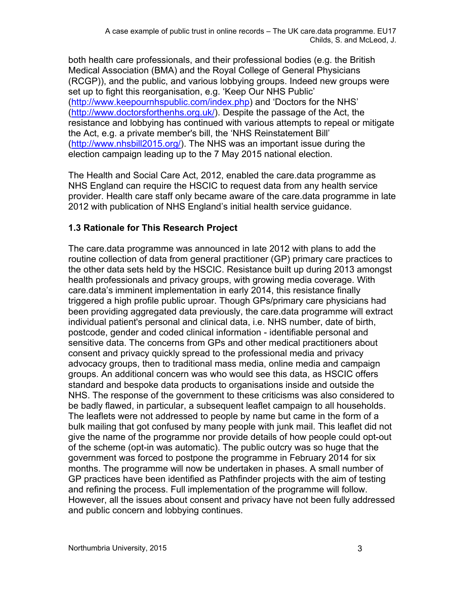both health care professionals, and their professional bodies (e.g. the British Medical Association (BMA) and the Royal College of General Physicians (RCGP)), and the public, and various lobbying groups. Indeed new groups were set up to fight this reorganisation, e.g. 'Keep Our NHS Public' [\(http://www.keepournhspublic.com/index.php\)](http://www.keepournhspublic.com/index.php) and 'Doctors for the NHS' [\(http://www.doctorsforthenhs.org.uk/\)](http://www.doctorsforthenhs.org.uk/). Despite the passage of the Act, the resistance and lobbying has continued with various attempts to repeal or mitigate the Act, e.g. a private member's bill, the 'NHS Reinstatement Bill' [\(http://www.nhsbill2015.org/\)](http://www.nhsbill2015.org/). The NHS was an important issue during the election campaign leading up to the 7 May 2015 national election.

The Health and Social Care Act, 2012, enabled the care.data programme as NHS England can require the HSCIC to request data from any health service provider. Health care staff only became aware of the care.data programme in late 2012 with publication of NHS England's initial health service guidance.

## **1.3 Rationale for This Research Project**

The care.data programme was announced in late 2012 with plans to add the routine collection of data from general practitioner (GP) primary care practices to the other data sets held by the HSCIC. Resistance built up during 2013 amongst health professionals and privacy groups, with growing media coverage. With care.data's imminent implementation in early 2014, this resistance finally triggered a high profile public uproar. Though GPs/primary care physicians had been providing aggregated data previously, the care.data programme will extract individual patient's personal and clinical data, i.e. NHS number, date of birth, postcode, gender and coded clinical information - identifiable personal and sensitive data. The concerns from GPs and other medical practitioners about consent and privacy quickly spread to the professional media and privacy advocacy groups, then to traditional mass media, online media and campaign groups. An additional concern was who would see this data, as HSCIC offers standard and bespoke data products to organisations inside and outside the NHS. The response of the government to these criticisms was also considered to be badly flawed, in particular, a subsequent leaflet campaign to all households. The leaflets were not addressed to people by name but came in the form of a bulk mailing that got confused by many people with junk mail. This leaflet did not give the name of the programme nor provide details of how people could opt-out of the scheme (opt-in was automatic). The public outcry was so huge that the government was forced to postpone the programme in February 2014 for six months. The programme will now be undertaken in phases. A small number of GP practices have been identified as Pathfinder projects with the aim of testing and refining the process. Full implementation of the programme will follow. However, all the issues about consent and privacy have not been fully addressed and public concern and lobbying continues.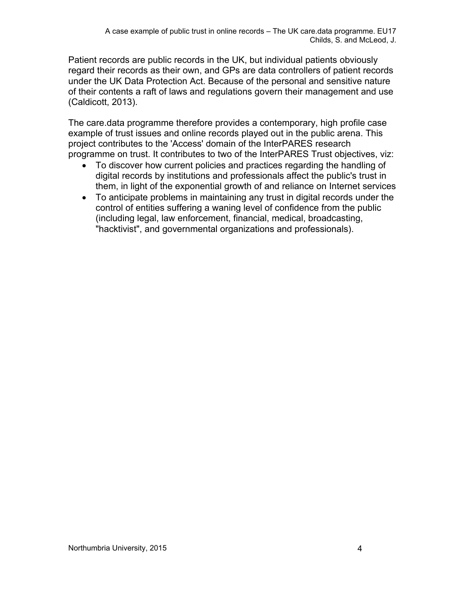Patient records are public records in the UK, but individual patients obviously regard their records as their own, and GPs are data controllers of patient records under the UK Data Protection Act. Because of the personal and sensitive nature of their contents a raft of laws and regulations govern their management and use (Caldicott, 2013).

The care.data programme therefore provides a contemporary, high profile case example of trust issues and online records played out in the public arena. This project contributes to the 'Access' domain of the InterPARES research programme on trust. It contributes to two of the InterPARES Trust objectives, viz:

- To discover how current policies and practices regarding the handling of digital records by institutions and professionals affect the public's trust in them, in light of the exponential growth of and reliance on Internet services
- To anticipate problems in maintaining any trust in digital records under the control of entities suffering a waning level of confidence from the public (including legal, law enforcement, financial, medical, broadcasting, "hacktivist", and governmental organizations and professionals).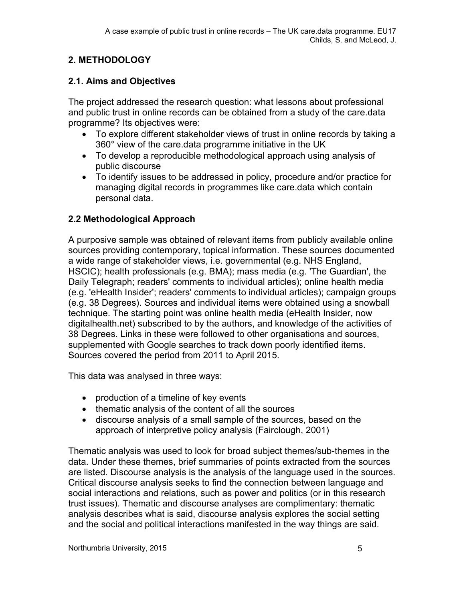## **2. METHODOLOGY**

## **2.1. Aims and Objectives**

The project addressed the research question: what lessons about professional and public trust in online records can be obtained from a study of the care.data programme? Its objectives were:

- To explore different stakeholder views of trust in online records by taking a 360° view of the care.data programme initiative in the UK
- To develop a reproducible methodological approach using analysis of public discourse
- To identify issues to be addressed in policy, procedure and/or practice for managing digital records in programmes like care.data which contain personal data.

## **2.2 Methodological Approach**

A purposive sample was obtained of relevant items from publicly available online sources providing contemporary, topical information. These sources documented a wide range of stakeholder views, i.e. governmental (e.g. NHS England, HSCIC); health professionals (e.g. BMA); mass media (e.g. 'The Guardian', the Daily Telegraph; readers' comments to individual articles); online health media (e.g. 'eHealth Insider'; readers' comments to individual articles); campaign groups (e.g. 38 Degrees). Sources and individual items were obtained using a snowball technique. The starting point was online health media (eHealth Insider, now digitalhealth.net) subscribed to by the authors, and knowledge of the activities of 38 Degrees. Links in these were followed to other organisations and sources, supplemented with Google searches to track down poorly identified items. Sources covered the period from 2011 to April 2015.

This data was analysed in three ways:

- production of a timeline of key events
- thematic analysis of the content of all the sources
- discourse analysis of a small sample of the sources, based on the approach of interpretive policy analysis (Fairclough, 2001)

Thematic analysis was used to look for broad subject themes/sub-themes in the data. Under these themes, brief summaries of points extracted from the sources are listed. Discourse analysis is the analysis of the language used in the sources. Critical discourse analysis seeks to find the connection between language and social interactions and relations, such as power and politics (or in this research trust issues). Thematic and discourse analyses are complimentary: thematic analysis describes what is said, discourse analysis explores the social setting and the social and political interactions manifested in the way things are said.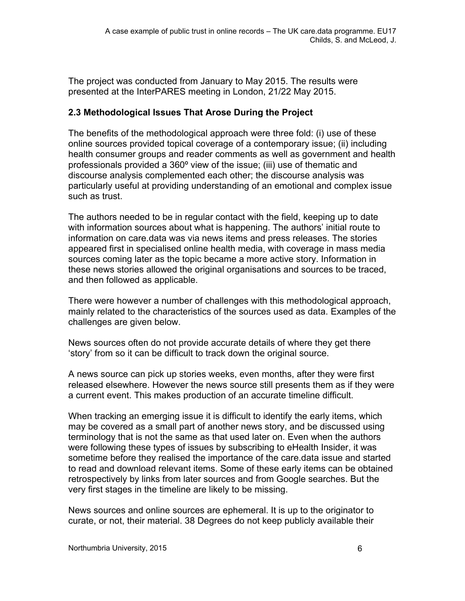The project was conducted from January to May 2015. The results were presented at the InterPARES meeting in London, 21/22 May 2015.

#### **2.3 Methodological Issues That Arose During the Project**

The benefits of the methodological approach were three fold: (i) use of these online sources provided topical coverage of a contemporary issue; (ii) including health consumer groups and reader comments as well as government and health professionals provided a 360º view of the issue; (iii) use of thematic and discourse analysis complemented each other; the discourse analysis was particularly useful at providing understanding of an emotional and complex issue such as trust.

The authors needed to be in regular contact with the field, keeping up to date with information sources about what is happening. The authors' initial route to information on care.data was via news items and press releases. The stories appeared first in specialised online health media, with coverage in mass media sources coming later as the topic became a more active story. Information in these news stories allowed the original organisations and sources to be traced, and then followed as applicable.

There were however a number of challenges with this methodological approach, mainly related to the characteristics of the sources used as data. Examples of the challenges are given below.

News sources often do not provide accurate details of where they get there 'story' from so it can be difficult to track down the original source.

A news source can pick up stories weeks, even months, after they were first released elsewhere. However the news source still presents them as if they were a current event. This makes production of an accurate timeline difficult.

When tracking an emerging issue it is difficult to identify the early items, which may be covered as a small part of another news story, and be discussed using terminology that is not the same as that used later on. Even when the authors were following these types of issues by subscribing to eHealth Insider, it was sometime before they realised the importance of the care.data issue and started to read and download relevant items. Some of these early items can be obtained retrospectively by links from later sources and from Google searches. But the very first stages in the timeline are likely to be missing.

News sources and online sources are ephemeral. It is up to the originator to curate, or not, their material. 38 Degrees do not keep publicly available their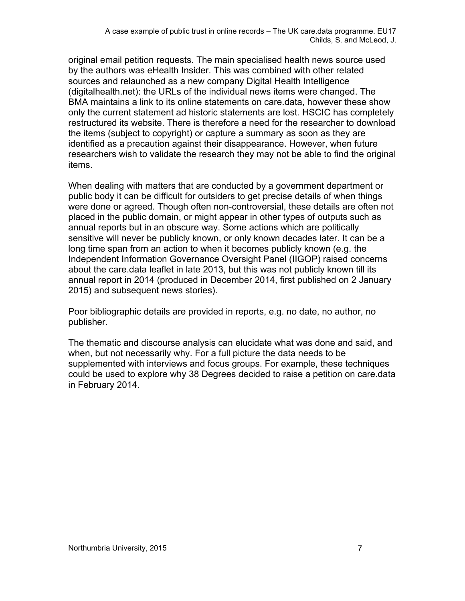original email petition requests. The main specialised health news source used by the authors was eHealth Insider. This was combined with other related sources and relaunched as a new company Digital Health Intelligence (digitalhealth.net): the URLs of the individual news items were changed. The BMA maintains a link to its online statements on care.data, however these show only the current statement ad historic statements are lost. HSCIC has completely restructured its website. There is therefore a need for the researcher to download the items (subject to copyright) or capture a summary as soon as they are identified as a precaution against their disappearance. However, when future researchers wish to validate the research they may not be able to find the original items.

When dealing with matters that are conducted by a government department or public body it can be difficult for outsiders to get precise details of when things were done or agreed. Though often non-controversial, these details are often not placed in the public domain, or might appear in other types of outputs such as annual reports but in an obscure way. Some actions which are politically sensitive will never be publicly known, or only known decades later. It can be a long time span from an action to when it becomes publicly known (e.g. the Independent Information Governance Oversight Panel (IIGOP) raised concerns about the care.data leaflet in late 2013, but this was not publicly known till its annual report in 2014 (produced in December 2014, first published on 2 January 2015) and subsequent news stories).

Poor bibliographic details are provided in reports, e.g. no date, no author, no publisher.

The thematic and discourse analysis can elucidate what was done and said, and when, but not necessarily why. For a full picture the data needs to be supplemented with interviews and focus groups. For example, these techniques could be used to explore why 38 Degrees decided to raise a petition on care.data in February 2014.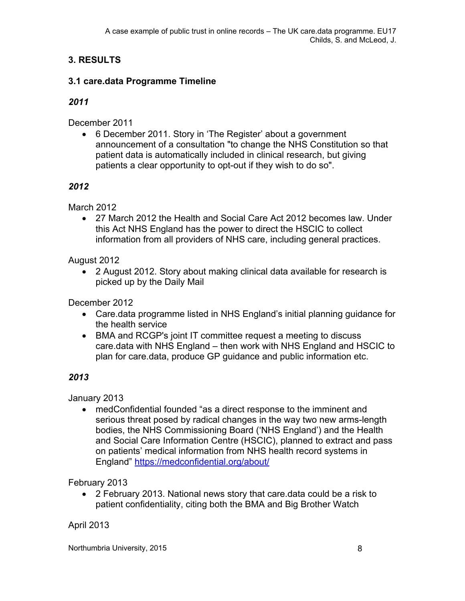## **3. RESULTS**

#### **3.1 care.data Programme Timeline**

#### *2011*

December 2011

 6 December 2011. Story in 'The Register' about a government announcement of a consultation "to change the NHS Constitution so that patient data is automatically included in clinical research, but giving patients a clear opportunity to opt-out if they wish to do so".

#### *2012*

March 2012

 27 March 2012 the Health and Social Care Act 2012 becomes law. Under this Act NHS England has the power to direct the HSCIC to collect information from all providers of NHS care, including general practices.

August 2012

 2 August 2012. Story about making clinical data available for research is picked up by the Daily Mail

December 2012

- Care.data programme listed in NHS England's initial planning guidance for the health service
- BMA and RCGP's joint IT committee request a meeting to discuss care.data with NHS England – then work with NHS England and HSCIC to plan for care.data, produce GP guidance and public information etc.

## *2013*

January 2013

 medConfidential founded "as a direct response to the imminent and serious threat posed by radical changes in the way two new arms-length bodies, the NHS Commissioning Board ('NHS England') and the Health and Social Care Information Centre (HSCIC), planned to extract and pass on patients' medical information from NHS health record systems in England" <https://medconfidential.org/about/>

February 2013

 2 February 2013. National news story that care.data could be a risk to patient confidentiality, citing both the BMA and Big Brother Watch

#### April 2013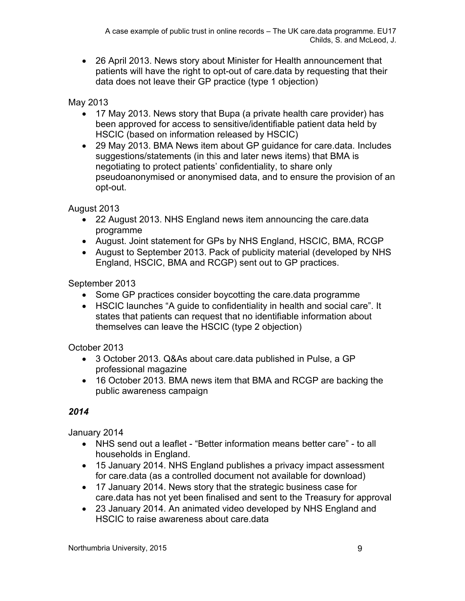26 April 2013. News story about Minister for Health announcement that patients will have the right to opt-out of care.data by requesting that their data does not leave their GP practice (type 1 objection)

May 2013

- 17 May 2013. News story that Bupa (a private health care provider) has been approved for access to sensitive/identifiable patient data held by HSCIC (based on information released by HSCIC)
- 29 May 2013. BMA News item about GP guidance for care.data. Includes suggestions/statements (in this and later news items) that BMA is negotiating to protect patients' confidentiality, to share only pseudoanonymised or anonymised data, and to ensure the provision of an opt-out.

August 2013

- 22 August 2013. NHS England news item announcing the care.data programme
- August. Joint statement for GPs by NHS England, HSCIC, BMA, RCGP
- August to September 2013. Pack of publicity material (developed by NHS England, HSCIC, BMA and RCGP) sent out to GP practices.

September 2013

- Some GP practices consider boycotting the care data programme
- HSCIC launches "A guide to confidentiality in health and social care". It states that patients can request that no identifiable information about themselves can leave the HSCIC (type 2 objection)

October 2013

- 3 October 2013. Q&As about care.data published in Pulse, a GP professional magazine
- 16 October 2013. BMA news item that BMA and RCGP are backing the public awareness campaign

## *2014*

January 2014

- NHS send out a leaflet "Better information means better care" to all households in England.
- 15 January 2014. NHS England publishes a privacy impact assessment for care.data (as a controlled document not available for download)
- 17 January 2014. News story that the strategic business case for care.data has not yet been finalised and sent to the Treasury for approval
- 23 January 2014. An animated video developed by NHS England and HSCIC to raise awareness about care data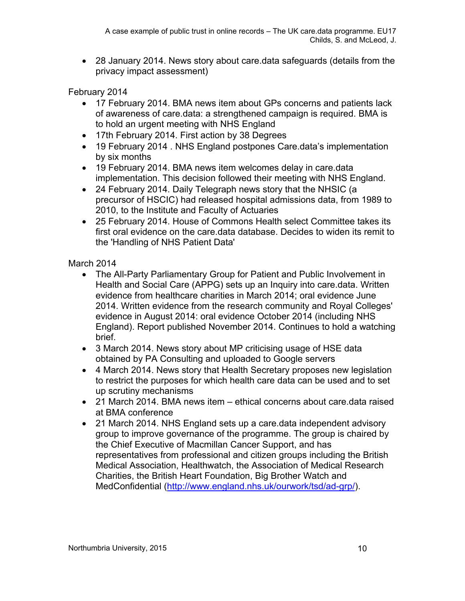28 January 2014. News story about care.data safeguards (details from the privacy impact assessment)

February 2014

- 17 February 2014. BMA news item about GPs concerns and patients lack of awareness of care.data: a strengthened campaign is required. BMA is to hold an urgent meeting with NHS England
- 17th February 2014. First action by 38 Degrees
- 19 February 2014 . NHS England postpones Care.data's implementation by six months
- 19 February 2014. BMA news item welcomes delay in care.data implementation. This decision followed their meeting with NHS England.
- 24 February 2014. Daily Telegraph news story that the NHSIC (a precursor of HSCIC) had released hospital admissions data, from 1989 to 2010, to the Institute and Faculty of Actuaries
- 25 February 2014. House of Commons Health select Committee takes its first oral evidence on the care.data database. Decides to widen its remit to the 'Handling of NHS Patient Data'

#### March 2014

- The All-Party Parliamentary Group for Patient and Public Involvement in Health and Social Care (APPG) sets up an Inquiry into care.data. Written evidence from healthcare charities in March 2014; oral evidence June 2014. Written evidence from the research community and Royal Colleges' evidence in August 2014: oral evidence October 2014 (including NHS England). Report published November 2014. Continues to hold a watching brief.
- 3 March 2014. News story about MP criticising usage of HSE data obtained by PA Consulting and uploaded to Google servers
- 4 March 2014. News story that Health Secretary proposes new legislation to restrict the purposes for which health care data can be used and to set up scrutiny mechanisms
- 21 March 2014. BMA news item ethical concerns about care.data raised at BMA conference
- 21 March 2014. NHS England sets up a care data independent advisory group to improve governance of the programme. The group is chaired by the Chief Executive of Macmillan Cancer Support, and has representatives from professional and citizen groups including the British Medical Association, Healthwatch, the Association of Medical Research Charities, the British Heart Foundation, Big Brother Watch and MedConfidential [\(http://www.england.nhs.uk/ourwork/tsd/ad-grp/\)](http://www.england.nhs.uk/ourwork/tsd/ad-grp/).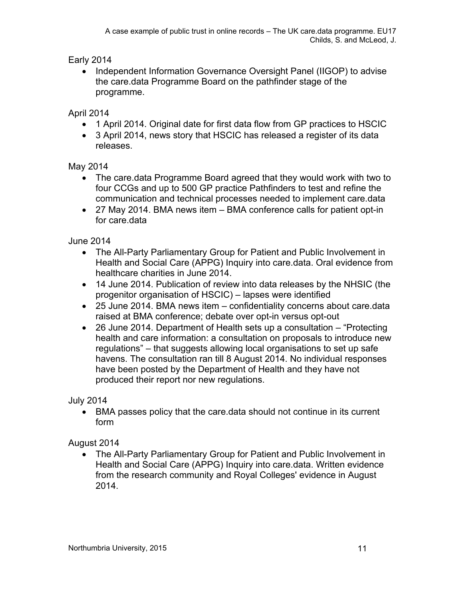Early 2014

• Independent Information Governance Oversight Panel (IIGOP) to advise the care.data Programme Board on the pathfinder stage of the programme.

April 2014

- 1 April 2014. Original date for first data flow from GP practices to HSCIC
- 3 April 2014, news story that HSCIC has released a register of its data releases.

#### May 2014

- The care.data Programme Board agreed that they would work with two to four CCGs and up to 500 GP practice Pathfinders to test and refine the communication and technical processes needed to implement care.data
- 27 May 2014. BMA news item BMA conference calls for patient opt-in for care.data

## June 2014

- The All-Party Parliamentary Group for Patient and Public Involvement in Health and Social Care (APPG) Inquiry into care.data. Oral evidence from healthcare charities in June 2014.
- 14 June 2014. Publication of review into data releases by the NHSIC (the progenitor organisation of HSCIC) – lapses were identified
- 25 June 2014. BMA news item confidentiality concerns about care.data raised at BMA conference; debate over opt-in versus opt-out
- 26 June 2014. Department of Health sets up a consultation "Protecting health and care information: a consultation on proposals to introduce new regulations" – that suggests allowing local organisations to set up safe havens. The consultation ran till 8 August 2014. No individual responses have been posted by the Department of Health and they have not produced their report nor new regulations.

## July 2014

 BMA passes policy that the care.data should not continue in its current form

## August 2014

 The All-Party Parliamentary Group for Patient and Public Involvement in Health and Social Care (APPG) Inquiry into care.data. Written evidence from the research community and Royal Colleges' evidence in August 2014.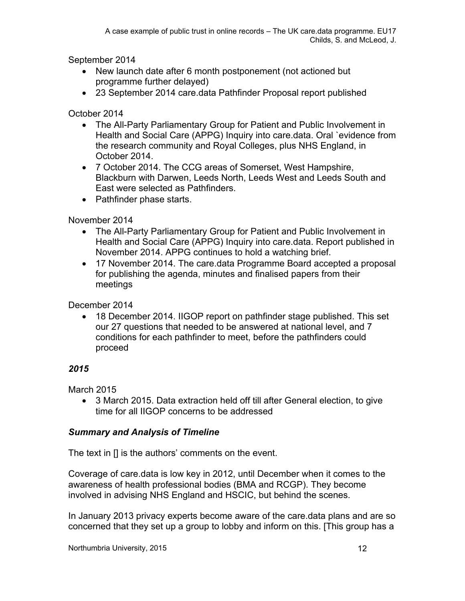September 2014

- New launch date after 6 month postponement (not actioned but programme further delayed)
- 23 September 2014 care.data Pathfinder Proposal report published

October 2014

- The All-Party Parliamentary Group for Patient and Public Involvement in Health and Social Care (APPG) Inquiry into care.data. Oral `evidence from the research community and Royal Colleges, plus NHS England, in October 2014.
- 7 October 2014. The CCG areas of Somerset, West Hampshire, Blackburn with Darwen, Leeds North, Leeds West and Leeds South and East were selected as Pathfinders.
- Pathfinder phase starts.

November 2014

- The All-Party Parliamentary Group for Patient and Public Involvement in Health and Social Care (APPG) Inquiry into care.data. Report published in November 2014. APPG continues to hold a watching brief.
- 17 November 2014. The care.data Programme Board accepted a proposal for publishing the agenda, minutes and finalised papers from their meetings

December 2014

 18 December 2014. IIGOP report on pathfinder stage published. This set our 27 questions that needed to be answered at national level, and 7 conditions for each pathfinder to meet, before the pathfinders could proceed

## *2015*

March 2015

 3 March 2015. Data extraction held off till after General election, to give time for all IIGOP concerns to be addressed

## *Summary and Analysis of Timeline*

The text in [] is the authors' comments on the event.

Coverage of care.data is low key in 2012, until December when it comes to the awareness of health professional bodies (BMA and RCGP). They become involved in advising NHS England and HSCIC, but behind the scenes.

In January 2013 privacy experts become aware of the care.data plans and are so concerned that they set up a group to lobby and inform on this. [This group has a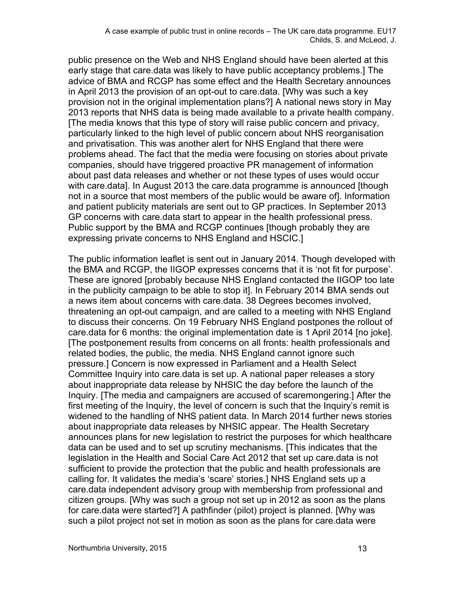public presence on the Web and NHS England should have been alerted at this early stage that care.data was likely to have public acceptancy problems.] The advice of BMA and RCGP has some effect and the Health Secretary announces in April 2013 the provision of an opt-out to care.data. [Why was such a key provision not in the original implementation plans?] A national news story in May 2013 reports that NHS data is being made available to a private health company. [The media knows that this type of story will raise public concern and privacy, particularly linked to the high level of public concern about NHS reorganisation and privatisation. This was another alert for NHS England that there were problems ahead. The fact that the media were focusing on stories about private companies, should have triggered proactive PR management of information about past data releases and whether or not these types of uses would occur with care.data]. In August 2013 the care.data programme is announced [though] not in a source that most members of the public would be aware of]. Information and patient publicity materials are sent out to GP practices. In September 2013 GP concerns with care.data start to appear in the health professional press. Public support by the BMA and RCGP continues [though probably they are expressing private concerns to NHS England and HSCIC.]

The public information leaflet is sent out in January 2014. Though developed with the BMA and RCGP, the IIGOP expresses concerns that it is 'not fit for purpose'. These are ignored [probably because NHS England contacted the IIGOP too late in the publicity campaign to be able to stop it]. In February 2014 BMA sends out a news item about concerns with care.data. 38 Degrees becomes involved, threatening an opt-out campaign, and are called to a meeting with NHS England to discuss their concerns. On 19 February NHS England postpones the rollout of care.data for 6 months: the original implementation date is 1 April 2014 [no joke]. [The postponement results from concerns on all fronts: health professionals and related bodies, the public, the media. NHS England cannot ignore such pressure.] Concern is now expressed in Parliament and a Health Select Committee Inquiry into care.data is set up. A national paper releases a story about inappropriate data release by NHSIC the day before the launch of the Inquiry. [The media and campaigners are accused of scaremongering.] After the first meeting of the Inquiry, the level of concern is such that the Inquiry's remit is widened to the handling of NHS patient data. In March 2014 further news stories about inappropriate data releases by NHSIC appear. The Health Secretary announces plans for new legislation to restrict the purposes for which healthcare data can be used and to set up scrutiny mechanisms. [This indicates that the legislation in the Health and Social Care Act 2012 that set up care.data is not sufficient to provide the protection that the public and health professionals are calling for. It validates the media's 'scare' stories.] NHS England sets up a care.data independent advisory group with membership from professional and citizen groups. [Why was such a group not set up in 2012 as soon as the plans for care.data were started?] A pathfinder (pilot) project is planned. [Why was such a pilot project not set in motion as soon as the plans for care.data were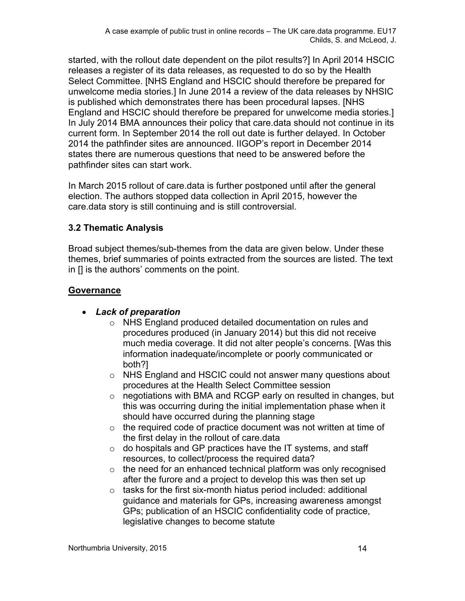started, with the rollout date dependent on the pilot results?] In April 2014 HSCIC releases a register of its data releases, as requested to do so by the Health Select Committee. [NHS England and HSCIC should therefore be prepared for unwelcome media stories.] In June 2014 a review of the data releases by NHSIC is published which demonstrates there has been procedural lapses. [NHS England and HSCIC should therefore be prepared for unwelcome media stories.] In July 2014 BMA announces their policy that care.data should not continue in its current form. In September 2014 the roll out date is further delayed. In October 2014 the pathfinder sites are announced. IIGOP's report in December 2014 states there are numerous questions that need to be answered before the pathfinder sites can start work.

In March 2015 rollout of care.data is further postponed until after the general election. The authors stopped data collection in April 2015, however the care.data story is still continuing and is still controversial.

#### **3.2 Thematic Analysis**

Broad subject themes/sub-themes from the data are given below. Under these themes, brief summaries of points extracted from the sources are listed. The text in [] is the authors' comments on the point.

#### **Governance**

- *Lack of preparation*
	- o NHS England produced detailed documentation on rules and procedures produced (in January 2014) but this did not receive much media coverage. It did not alter people's concerns. [Was this information inadequate/incomplete or poorly communicated or both?]
	- o NHS England and HSCIC could not answer many questions about procedures at the Health Select Committee session
	- $\circ$  negotiations with BMA and RCGP early on resulted in changes, but this was occurring during the initial implementation phase when it should have occurred during the planning stage
	- $\circ$  the required code of practice document was not written at time of the first delay in the rollout of care.data
	- $\circ$  do hospitals and GP practices have the IT systems, and staff resources, to collect/process the required data?
	- $\circ$  the need for an enhanced technical platform was only recognised after the furore and a project to develop this was then set up
	- $\circ$  tasks for the first six-month hiatus period included: additional guidance and materials for GPs, increasing awareness amongst GPs; publication of an HSCIC confidentiality code of practice, legislative changes to become statute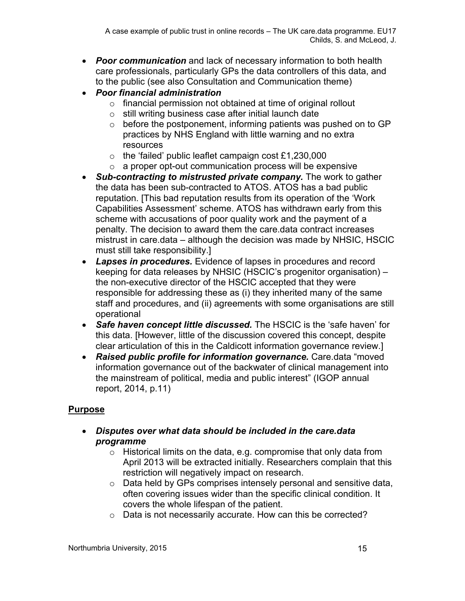- *Poor communication* and lack of necessary information to both health care professionals, particularly GPs the data controllers of this data, and to the public (see also Consultation and Communication theme)
- *Poor financial administration*
	- o financial permission not obtained at time of original rollout
	- $\circ$  still writing business case after initial launch date
	- $\circ$  before the postponement, informing patients was pushed on to GP practices by NHS England with little warning and no extra resources
	- $\circ$  the 'failed' public leaflet campaign cost £1,230,000
	- $\circ$  a proper opt-out communication process will be expensive
- *Sub-contracting to mistrusted private company.* The work to gather the data has been sub-contracted to ATOS. ATOS has a bad public reputation. [This bad reputation results from its operation of the 'Work Capabilities Assessment' scheme. ATOS has withdrawn early from this scheme with accusations of poor quality work and the payment of a penalty. The decision to award them the care.data contract increases mistrust in care.data – although the decision was made by NHSIC, HSCIC must still take responsibility.]
- *Lapses in procedures.* Evidence of lapses in procedures and record keeping for data releases by NHSIC (HSCIC's progenitor organisation) – the non-executive director of the HSCIC accepted that they were responsible for addressing these as (i) they inherited many of the same staff and procedures, and (ii) agreements with some organisations are still operational
- *Safe haven concept little discussed.* The HSCIC is the 'safe haven' for this data. [However, little of the discussion covered this concept, despite clear articulation of this in the Caldicott information governance review.]
- *Raised public profile for information governance.* Care.data "moved information governance out of the backwater of clinical management into the mainstream of political, media and public interest" (IGOP annual report, 2014, p.11)

## **Purpose**

- *Disputes over what data should be included in the care.data programme*
	- o Historical limits on the data, e.g. compromise that only data from April 2013 will be extracted initially. Researchers complain that this restriction will negatively impact on research.
	- $\circ$  Data held by GPs comprises intensely personal and sensitive data, often covering issues wider than the specific clinical condition. It covers the whole lifespan of the patient.
	- o Data is not necessarily accurate. How can this be corrected?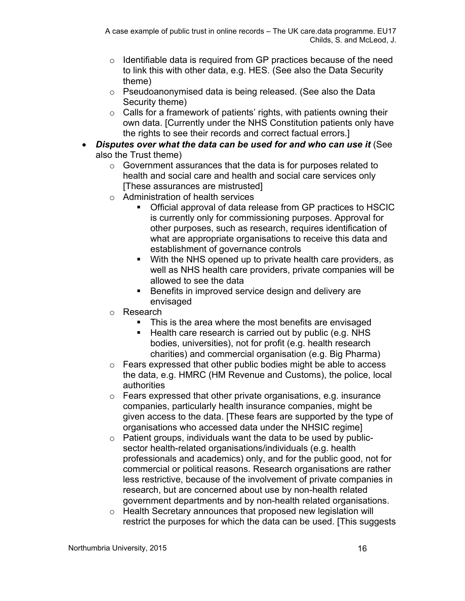- $\circ$  Identifiable data is required from GP practices because of the need to link this with other data, e.g. HES. (See also the Data Security theme)
- o Pseudoanonymised data is being released. (See also the Data Security theme)
- o Calls for a framework of patients' rights, with patients owning their own data. [Currently under the NHS Constitution patients only have the rights to see their records and correct factual errors.]
- *Disputes over what the data can be used for and who can use it* (See also the Trust theme)
	- o Government assurances that the data is for purposes related to health and social care and health and social care services only [These assurances are mistrusted]
	- o Administration of health services
		- Official approval of data release from GP practices to HSCIC is currently only for commissioning purposes. Approval for other purposes, such as research, requires identification of what are appropriate organisations to receive this data and establishment of governance controls
		- With the NHS opened up to private health care providers, as well as NHS health care providers, private companies will be allowed to see the data
		- **Benefits in improved service design and delivery are** envisaged
	- o Research
		- This is the area where the most benefits are envisaged
		- $\blacksquare$  Health care research is carried out by public (e.g. NHS bodies, universities), not for profit (e.g. health research charities) and commercial organisation (e.g. Big Pharma)
	- o Fears expressed that other public bodies might be able to access the data, e.g. HMRC (HM Revenue and Customs), the police, local authorities
	- $\circ$  Fears expressed that other private organisations, e.g. insurance companies, particularly health insurance companies, might be given access to the data. [These fears are supported by the type of organisations who accessed data under the NHSIC regime]
	- $\circ$  Patient groups, individuals want the data to be used by publicsector health-related organisations/individuals (e.g. health professionals and academics) only, and for the public good, not for commercial or political reasons. Research organisations are rather less restrictive, because of the involvement of private companies in research, but are concerned about use by non-health related government departments and by non-health related organisations.
	- o Health Secretary announces that proposed new legislation will restrict the purposes for which the data can be used. [This suggests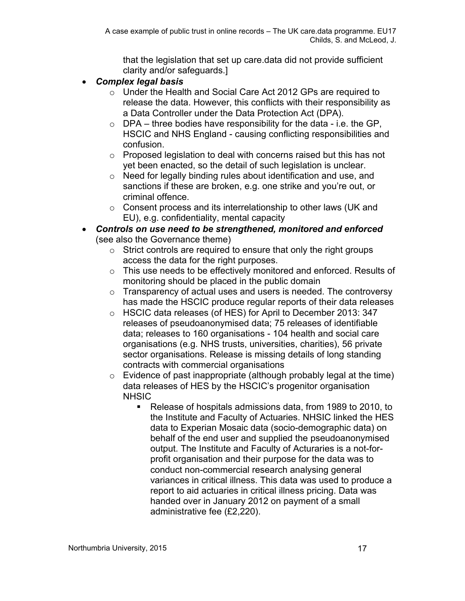that the legislation that set up care.data did not provide sufficient clarity and/or safeguards.]

- *Complex legal basis*
	- o Under the Health and Social Care Act 2012 GPs are required to release the data. However, this conflicts with their responsibility as a Data Controller under the Data Protection Act (DPA).
	- $\circ$  DPA three bodies have responsibility for the data i.e. the GP, HSCIC and NHS England - causing conflicting responsibilities and confusion.
	- o Proposed legislation to deal with concerns raised but this has not yet been enacted, so the detail of such legislation is unclear.
	- o Need for legally binding rules about identification and use, and sanctions if these are broken, e.g. one strike and you're out, or criminal offence.
	- o Consent process and its interrelationship to other laws (UK and EU), e.g. confidentiality, mental capacity
- *Controls on use need to be strengthened, monitored and enforced* (see also the Governance theme)
	- $\circ$  Strict controls are required to ensure that only the right groups access the data for the right purposes.
	- $\circ$  This use needs to be effectively monitored and enforced. Results of monitoring should be placed in the public domain
	- o Transparency of actual uses and users is needed. The controversy has made the HSCIC produce regular reports of their data releases
	- o HSCIC data releases (of HES) for April to December 2013: 347 releases of pseudoanonymised data; 75 releases of identifiable data; releases to 160 organisations - 104 health and social care organisations (e.g. NHS trusts, universities, charities), 56 private sector organisations. Release is missing details of long standing contracts with commercial organisations
	- $\circ$  Evidence of past inappropriate (although probably legal at the time) data releases of HES by the HSCIC's progenitor organisation **NHSIC** 
		- Release of hospitals admissions data, from 1989 to 2010, to the Institute and Faculty of Actuaries. NHSIC linked the HES data to Experian Mosaic data (socio-demographic data) on behalf of the end user and supplied the pseudoanonymised output. The Institute and Faculty of Acturaries is a not-forprofit organisation and their purpose for the data was to conduct non-commercial research analysing general variances in critical illness. This data was used to produce a report to aid actuaries in critical illness pricing. Data was handed over in January 2012 on payment of a small administrative fee (£2,220).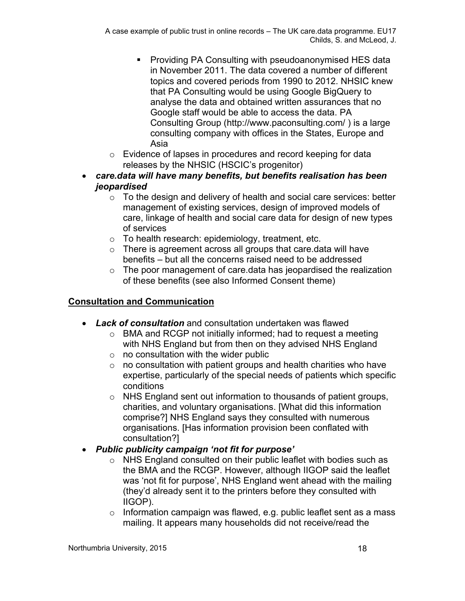- **Providing PA Consulting with pseudoanonymised HES data** in November 2011. The data covered a number of different topics and covered periods from 1990 to 2012. NHSIC knew that PA Consulting would be using Google BigQuery to analyse the data and obtained written assurances that no Google staff would be able to access the data. PA Consulting Group (http://www.paconsulting.com/ ) is a large consulting company with offices in the States, Europe and Asia
- o Evidence of lapses in procedures and record keeping for data releases by the NHSIC (HSCIC's progenitor)
- *care.data will have many benefits, but benefits realisation has been jeopardised*
	- $\circ$  To the design and delivery of health and social care services: better management of existing services, design of improved models of care, linkage of health and social care data for design of new types of services
	- $\circ$  To health research: epidemiology, treatment, etc.
	- $\circ$  There is agreement across all groups that care data will have benefits – but all the concerns raised need to be addressed
	- o The poor management of care.data has jeopardised the realization of these benefits (see also Informed Consent theme)

## **Consultation and Communication**

- *Lack of consultation* and consultation undertaken was flawed
	- o BMA and RCGP not initially informed; had to request a meeting with NHS England but from then on they advised NHS England
	- $\circ$  no consultation with the wider public
	- $\circ$  no consultation with patient groups and health charities who have expertise, particularly of the special needs of patients which specific conditions
	- o NHS England sent out information to thousands of patient groups, charities, and voluntary organisations. [What did this information comprise?] NHS England says they consulted with numerous organisations. [Has information provision been conflated with consultation?]
- *Public publicity campaign 'not fit for purpose'*
	- o NHS England consulted on their public leaflet with bodies such as the BMA and the RCGP. However, although IIGOP said the leaflet was 'not fit for purpose', NHS England went ahead with the mailing (they'd already sent it to the printers before they consulted with IIGOP).
	- $\circ$  Information campaign was flawed, e.g. public leaflet sent as a mass mailing. It appears many households did not receive/read the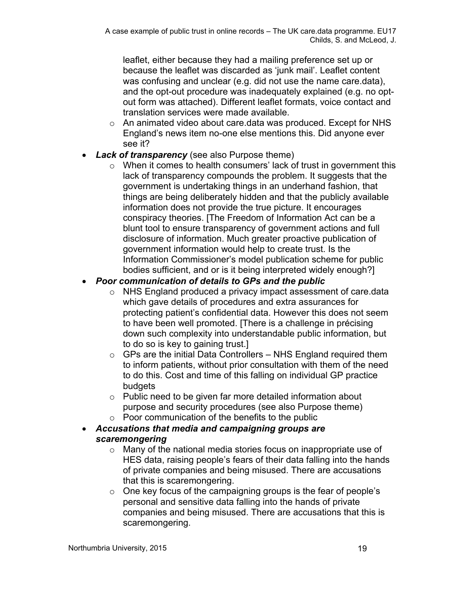leaflet, either because they had a mailing preference set up or because the leaflet was discarded as 'junk mail'. Leaflet content was confusing and unclear (e.g. did not use the name care.data), and the opt-out procedure was inadequately explained (e.g. no optout form was attached). Different leaflet formats, voice contact and translation services were made available.

- o An animated video about care.data was produced. Except for NHS England's news item no-one else mentions this. Did anyone ever see it?
- *Lack of transparency* (see also Purpose theme)
	- $\circ$  When it comes to health consumers' lack of trust in government this lack of transparency compounds the problem. It suggests that the government is undertaking things in an underhand fashion, that things are being deliberately hidden and that the publicly available information does not provide the true picture. It encourages conspiracy theories. [The Freedom of Information Act can be a blunt tool to ensure transparency of government actions and full disclosure of information. Much greater proactive publication of government information would help to create trust. Is the Information Commissioner's model publication scheme for public bodies sufficient, and or is it being interpreted widely enough?]

## *Poor communication of details to GPs and the public*

- o NHS England produced a privacy impact assessment of care.data which gave details of procedures and extra assurances for protecting patient's confidential data. However this does not seem to have been well promoted. [There is a challenge in précising down such complexity into understandable public information, but to do so is key to gaining trust.]
- $\circ$  GPs are the initial Data Controllers NHS England required them to inform patients, without prior consultation with them of the need to do this. Cost and time of this falling on individual GP practice budgets
- o Public need to be given far more detailed information about purpose and security procedures (see also Purpose theme)
- $\circ$  Poor communication of the benefits to the public
- *Accusations that media and campaigning groups are scaremongering*
	- o Many of the national media stories focus on inappropriate use of HES data, raising people's fears of their data falling into the hands of private companies and being misused. There are accusations that this is scaremongering.
	- o One key focus of the campaigning groups is the fear of people's personal and sensitive data falling into the hands of private companies and being misused. There are accusations that this is scaremongering.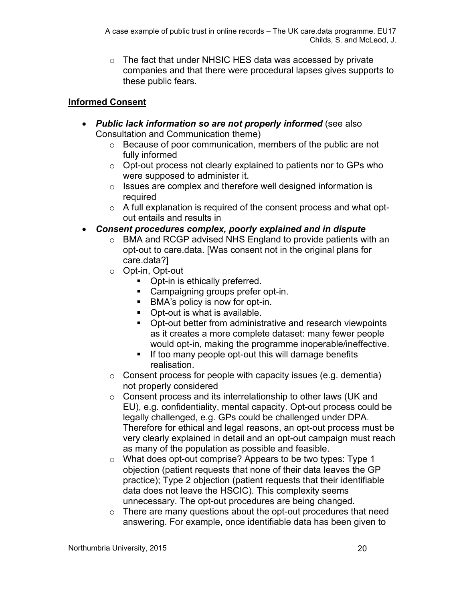o The fact that under NHSIC HES data was accessed by private companies and that there were procedural lapses gives supports to these public fears.

## **Informed Consent**

- *Public lack information so are not properly informed* (see also Consultation and Communication theme)
	- o Because of poor communication, members of the public are not fully informed
	- o Opt-out process not clearly explained to patients nor to GPs who were supposed to administer it.
	- o Issues are complex and therefore well designed information is required
	- $\circ$  A full explanation is required of the consent process and what optout entails and results in
- *Consent procedures complex, poorly explained and in dispute*
	- o BMA and RCGP advised NHS England to provide patients with an opt-out to care.data. [Was consent not in the original plans for care.data?]
	- o Opt-in, Opt-out
		- Opt-in is ethically preferred.
		- **Campaigning groups prefer opt-in.**
		- BMA's policy is now for opt-in.
		- Opt-out is what is available.
		- **D**ot-out better from administrative and research viewpoints as it creates a more complete dataset: many fewer people would opt-in, making the programme inoperable/ineffective.
		- **If too many people opt-out this will damage benefits** realisation.
	- $\circ$  Consent process for people with capacity issues (e.g. dementia) not properly considered
	- o Consent process and its interrelationship to other laws (UK and EU), e.g. confidentiality, mental capacity. Opt-out process could be legally challenged, e.g. GPs could be challenged under DPA. Therefore for ethical and legal reasons, an opt-out process must be very clearly explained in detail and an opt-out campaign must reach as many of the population as possible and feasible.
	- o What does opt-out comprise? Appears to be two types: Type 1 objection (patient requests that none of their data leaves the GP practice); Type 2 objection (patient requests that their identifiable data does not leave the HSCIC). This complexity seems unnecessary. The opt-out procedures are being changed.
	- $\circ$  There are many questions about the opt-out procedures that need answering. For example, once identifiable data has been given to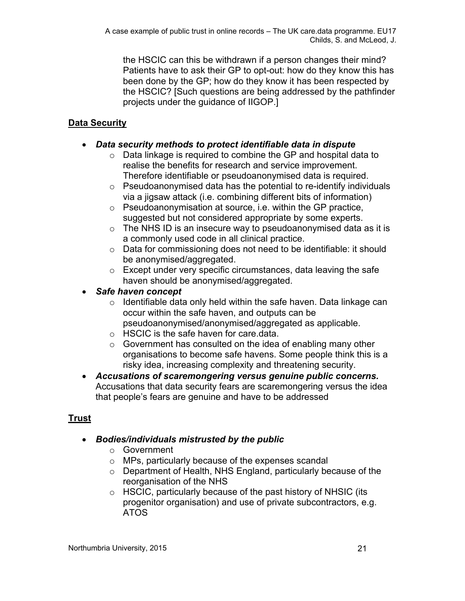the HSCIC can this be withdrawn if a person changes their mind? Patients have to ask their GP to opt-out: how do they know this has been done by the GP; how do they know it has been respected by the HSCIC? [Such questions are being addressed by the pathfinder projects under the guidance of IIGOP.]

## **Data Security**

#### *Data security methods to protect identifiable data in dispute*

- $\circ$  Data linkage is required to combine the GP and hospital data to realise the benefits for research and service improvement. Therefore identifiable or pseudoanonymised data is required.
- o Pseudoanonymised data has the potential to re-identify individuals via a jigsaw attack (i.e. combining different bits of information)
- o Pseudoanonymisation at source, i.e. within the GP practice, suggested but not considered appropriate by some experts.
- $\circ$  The NHS ID is an insecure way to pseudoanonymised data as it is a commonly used code in all clinical practice.
- o Data for commissioning does not need to be identifiable: it should be anonymised/aggregated.
- $\circ$  Except under very specific circumstances, data leaving the safe haven should be anonymised/aggregated.
- *Safe haven concept*
	- $\circ$  Identifiable data only held within the safe haven. Data linkage can occur within the safe haven, and outputs can be pseudoanonymised/anonymised/aggregated as applicable.
	- o HSCIC is the safe haven for care.data.
	- o Government has consulted on the idea of enabling many other organisations to become safe havens. Some people think this is a risky idea, increasing complexity and threatening security.
- *Accusations of scaremongering versus genuine public concerns.* Accusations that data security fears are scaremongering versus the idea that people's fears are genuine and have to be addressed

# **Trust**

## *Bodies/individuals mistrusted by the public*

- o Government
- o MPs, particularly because of the expenses scandal
- o Department of Health, NHS England, particularly because of the reorganisation of the NHS
- o HSCIC, particularly because of the past history of NHSIC (its progenitor organisation) and use of private subcontractors, e.g. ATOS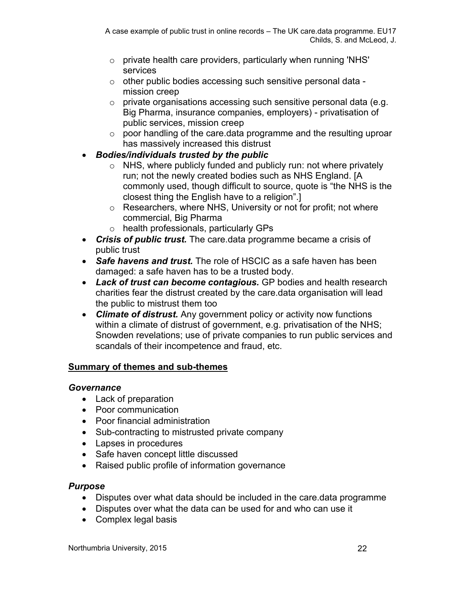- $\circ$  private health care providers, particularly when running 'NHS' services
- $\circ$  other public bodies accessing such sensitive personal data mission creep
- o private organisations accessing such sensitive personal data (e.g. Big Pharma, insurance companies, employers) - privatisation of public services, mission creep
- $\circ$  poor handling of the care.data programme and the resulting uproar has massively increased this distrust
- *Bodies/individuals trusted by the public*
	- $\circ$  NHS, where publicly funded and publicly run: not where privately run; not the newly created bodies such as NHS England. [A commonly used, though difficult to source, quote is "the NHS is the closest thing the English have to a religion".]
	- o Researchers, where NHS, University or not for profit; not where commercial, Big Pharma
	- o health professionals, particularly GPs
- *Crisis of public trust.* The care.data programme became a crisis of public trust
- *Safe havens and trust.* The role of HSCIC as a safe haven has been damaged: a safe haven has to be a trusted body.
- *Lack of trust can become contagious.* GP bodies and health research charities fear the distrust created by the care.data organisation will lead the public to mistrust them too
- *Climate of distrust.* Any government policy or activity now functions within a climate of distrust of government, e.g. privatisation of the NHS; Snowden revelations; use of private companies to run public services and scandals of their incompetence and fraud, etc.

## **Summary of themes and sub-themes**

#### *Governance*

- Lack of preparation
- Poor communication
- Poor financial administration
- Sub-contracting to mistrusted private company
- Lapses in procedures
- Safe haven concept little discussed
- Raised public profile of information governance

#### *Purpose*

- Disputes over what data should be included in the care.data programme
- Disputes over what the data can be used for and who can use it
- Complex legal basis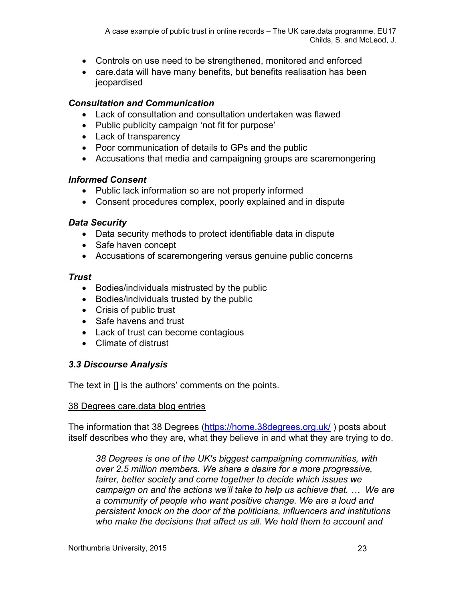- Controls on use need to be strengthened, monitored and enforced
- care.data will have many benefits, but benefits realisation has been jeopardised

#### *Consultation and Communication*

- Lack of consultation and consultation undertaken was flawed
- Public publicity campaign 'not fit for purpose'
- Lack of transparency
- Poor communication of details to GPs and the public
- Accusations that media and campaigning groups are scaremongering

#### *Informed Consent*

- Public lack information so are not properly informed
- Consent procedures complex, poorly explained and in dispute

#### *Data Security*

- Data security methods to protect identifiable data in dispute
- Safe haven concept
- Accusations of scaremongering versus genuine public concerns

#### *Trust*

- Bodies/individuals mistrusted by the public
- Bodies/individuals trusted by the public
- Crisis of public trust
- Safe havens and trust
- Lack of trust can become contagious
- Climate of distrust

#### *3.3 Discourse Analysis*

The text in [] is the authors' comments on the points.

#### 38 Degrees care.data blog entries

The information that 38 Degrees [\(https://home.38degrees.org.uk/](https://home.38degrees.org.uk/) ) posts about itself describes who they are, what they believe in and what they are trying to do.

*38 Degrees is one of the UK's biggest campaigning communities, with over 2.5 million members. We share a desire for a more progressive, fairer, better society and come together to decide which issues we campaign on and the actions we'll take to help us achieve that. … We are a community of people who want positive change. We are a loud and persistent knock on the door of the politicians, influencers and institutions who make the decisions that affect us all. We hold them to account and*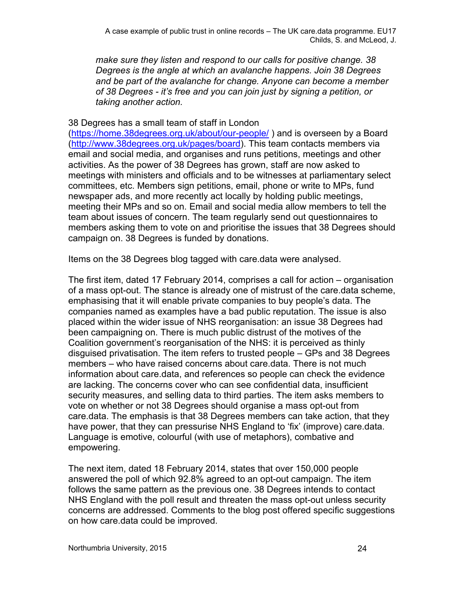*make sure they listen and respond to our calls for positive change. 38 Degrees is the angle at which an avalanche happens. Join 38 Degrees and be part of the avalanche for change. Anyone can become a member of 38 Degrees - it's free and you can join just by signing a petition, or taking another action.*

#### 38 Degrees has a small team of staff in London

[\(https://home.38degrees.org.uk/about/our-people/](https://home.38degrees.org.uk/about/our-people/) ) and is overseen by a Board [\(http://www.38degrees.org.uk/pages/board\)](http://www.38degrees.org.uk/pages/board). This team contacts members via email and social media, and organises and runs petitions, meetings and other activities. As the power of 38 Degrees has grown, staff are now asked to meetings with ministers and officials and to be witnesses at parliamentary select committees, etc. Members sign petitions, email, phone or write to MPs, fund newspaper ads, and more recently act locally by holding public meetings, meeting their MPs and so on. Email and social media allow members to tell the team about issues of concern. The team regularly send out questionnaires to members asking them to vote on and prioritise the issues that 38 Degrees should campaign on. 38 Degrees is funded by donations.

Items on the 38 Degrees blog tagged with care.data were analysed.

The first item, dated 17 February 2014, comprises a call for action – organisation of a mass opt-out. The stance is already one of mistrust of the care.data scheme, emphasising that it will enable private companies to buy people's data. The companies named as examples have a bad public reputation. The issue is also placed within the wider issue of NHS reorganisation: an issue 38 Degrees had been campaigning on. There is much public distrust of the motives of the Coalition government's reorganisation of the NHS: it is perceived as thinly disguised privatisation. The item refers to trusted people – GPs and 38 Degrees members – who have raised concerns about care.data. There is not much information about care.data, and references so people can check the evidence are lacking. The concerns cover who can see confidential data, insufficient security measures, and selling data to third parties. The item asks members to vote on whether or not 38 Degrees should organise a mass opt-out from care.data. The emphasis is that 38 Degrees members can take action, that they have power, that they can pressurise NHS England to 'fix' (improve) care.data. Language is emotive, colourful (with use of metaphors), combative and empowering.

The next item, dated 18 February 2014, states that over 150,000 people answered the poll of which 92.8% agreed to an opt-out campaign. The item follows the same pattern as the previous one. 38 Degrees intends to contact NHS England with the poll result and threaten the mass opt-out unless security concerns are addressed. Comments to the blog post offered specific suggestions on how care.data could be improved.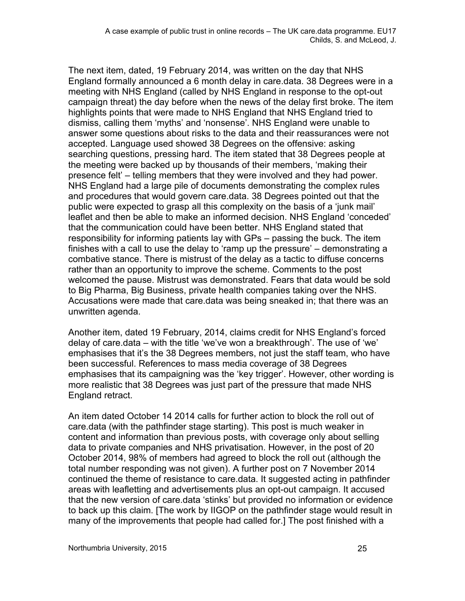The next item, dated, 19 February 2014, was written on the day that NHS England formally announced a 6 month delay in care.data. 38 Degrees were in a meeting with NHS England (called by NHS England in response to the opt-out campaign threat) the day before when the news of the delay first broke. The item highlights points that were made to NHS England that NHS England tried to dismiss, calling them 'myths' and 'nonsense'. NHS England were unable to answer some questions about risks to the data and their reassurances were not accepted. Language used showed 38 Degrees on the offensive: asking searching questions, pressing hard. The item stated that 38 Degrees people at the meeting were backed up by thousands of their members, 'making their presence felt' – telling members that they were involved and they had power. NHS England had a large pile of documents demonstrating the complex rules and procedures that would govern care.data. 38 Degrees pointed out that the public were expected to grasp all this complexity on the basis of a 'junk mail' leaflet and then be able to make an informed decision. NHS England 'conceded' that the communication could have been better. NHS England stated that responsibility for informing patients lay with GPs – passing the buck. The item finishes with a call to use the delay to 'ramp up the pressure' – demonstrating a combative stance. There is mistrust of the delay as a tactic to diffuse concerns rather than an opportunity to improve the scheme. Comments to the post welcomed the pause. Mistrust was demonstrated. Fears that data would be sold to Big Pharma, Big Business, private health companies taking over the NHS. Accusations were made that care.data was being sneaked in; that there was an unwritten agenda.

Another item, dated 19 February, 2014, claims credit for NHS England's forced delay of care.data – with the title 'we've won a breakthrough'. The use of 'we' emphasises that it's the 38 Degrees members, not just the staff team, who have been successful. References to mass media coverage of 38 Degrees emphasises that its campaigning was the 'key trigger'. However, other wording is more realistic that 38 Degrees was just part of the pressure that made NHS England retract.

An item dated October 14 2014 calls for further action to block the roll out of care.data (with the pathfinder stage starting). This post is much weaker in content and information than previous posts, with coverage only about selling data to private companies and NHS privatisation. However, in the post of 20 October 2014, 98% of members had agreed to block the roll out (although the total number responding was not given). A further post on 7 November 2014 continued the theme of resistance to care.data. It suggested acting in pathfinder areas with leafletting and advertisements plus an opt-out campaign. It accused that the new version of care.data 'stinks' but provided no information or evidence to back up this claim. [The work by IIGOP on the pathfinder stage would result in many of the improvements that people had called for.] The post finished with a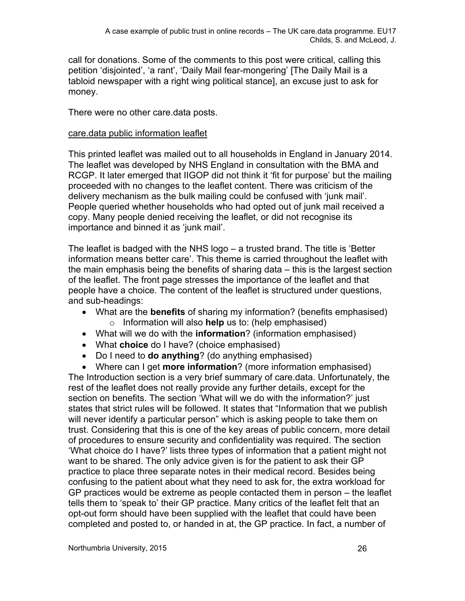call for donations. Some of the comments to this post were critical, calling this petition 'disjointed', 'a rant', 'Daily Mail fear-mongering' [The Daily Mail is a tabloid newspaper with a right wing political stance], an excuse just to ask for money.

There were no other care.data posts.

#### care.data public information leaflet

This printed leaflet was mailed out to all households in England in January 2014. The leaflet was developed by NHS England in consultation with the BMA and RCGP. It later emerged that IIGOP did not think it 'fit for purpose' but the mailing proceeded with no changes to the leaflet content. There was criticism of the delivery mechanism as the bulk mailing could be confused with 'junk mail'. People queried whether households who had opted out of junk mail received a copy. Many people denied receiving the leaflet, or did not recognise its importance and binned it as 'junk mail'.

The leaflet is badged with the NHS logo – a trusted brand. The title is 'Better information means better care'. This theme is carried throughout the leaflet with the main emphasis being the benefits of sharing data – this is the largest section of the leaflet. The front page stresses the importance of the leaflet and that people have a choice. The content of the leaflet is structured under questions, and sub-headings:

- What are the **benefits** of sharing my information? (benefits emphasised) o Information will also **help** us to: (help emphasised)
- What will we do with the **information**? (information emphasised)
- What **choice** do I have? (choice emphasised)
- Do I need to **do anything**? (do anything emphasised)

 Where can I get **more information**? (more information emphasised) The Introduction section is a very brief summary of care.data. Unfortunately, the rest of the leaflet does not really provide any further details, except for the section on benefits. The section 'What will we do with the information?' just states that strict rules will be followed. It states that "Information that we publish will never identify a particular person" which is asking people to take them on trust. Considering that this is one of the key areas of public concern, more detail of procedures to ensure security and confidentiality was required. The section 'What choice do I have?' lists three types of information that a patient might not want to be shared. The only advice given is for the patient to ask their GP practice to place three separate notes in their medical record. Besides being confusing to the patient about what they need to ask for, the extra workload for GP practices would be extreme as people contacted them in person – the leaflet tells them to 'speak to' their GP practice. Many critics of the leaflet felt that an opt-out form should have been supplied with the leaflet that could have been completed and posted to, or handed in at, the GP practice. In fact, a number of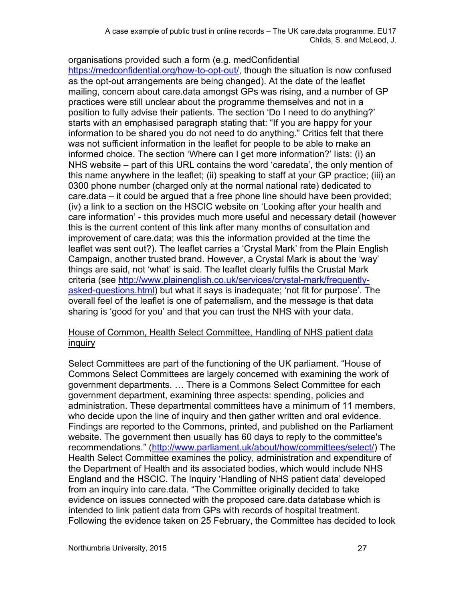organisations provided such a form (e.g. medConfidential [https://medconfidential.org/how-to-opt-out/,](https://medconfidential.org/how-to-opt-out/) though the situation is now confused as the opt-out arrangements are being changed). At the date of the leaflet mailing, concern about care.data amongst GPs was rising, and a number of GP practices were still unclear about the programme themselves and not in a position to fully advise their patients. The section 'Do I need to do anything?' starts with an emphasised paragraph stating that: "If you are happy for your information to be shared you do not need to do anything." Critics felt that there was not sufficient information in the leaflet for people to be able to make an informed choice. The section 'Where can I get more information?' lists: (i) an NHS website – part of this URL contains the word 'caredata', the only mention of this name anywhere in the leaflet; (ii) speaking to staff at your GP practice; (iii) an 0300 phone number (charged only at the normal national rate) dedicated to care.data – it could be argued that a free phone line should have been provided; (iv) a link to a section on the HSCIC website on 'Looking after your health and care information' - this provides much more useful and necessary detail (however this is the current content of this link after many months of consultation and improvement of care.data; was this the information provided at the time the leaflet was sent out?). The leaflet carries a 'Crystal Mark' from the Plain English Campaign, another trusted brand. However, a Crystal Mark is about the 'way' things are said, not 'what' is said. The leaflet clearly fulfils the Crustal Mark criteria (see [http://www.plainenglish.co.uk/services/crystal-mark/frequently](http://www.plainenglish.co.uk/services/crystal-mark/frequently-asked-questions.html)[asked-questions.html](http://www.plainenglish.co.uk/services/crystal-mark/frequently-asked-questions.html)) but what it says is inadequate; 'not fit for purpose'. The overall feel of the leaflet is one of paternalism, and the message is that data sharing is 'good for you' and that you can trust the NHS with your data.

#### House of Common, Health Select Committee, Handling of NHS patient data inquiry

Select Committees are part of the functioning of the UK parliament. "House of Commons Select Committees are largely concerned with examining the work of government departments. … There is a Commons Select Committee for each government department, examining three aspects: spending, policies and administration. These departmental committees have a minimum of 11 members, who decide upon the line of inquiry and then gather written and oral evidence. Findings are reported to the Commons, printed, and published on the Parliament website. The government then usually has 60 days to reply to the committee's recommendations." ([http://www.parliament.uk/about/how/committees/select/\)](http://www.parliament.uk/about/how/committees/select/) The Health Select Committee examines the policy, administration and expenditure of the Department of Health and its associated bodies, which would include NHS England and the HSCIC. The Inquiry 'Handling of NHS patient data' developed from an inquiry into care.data. "The Committee originally decided to take evidence on issues connected with the proposed care.data database which is intended to link patient data from GPs with records of hospital treatment. Following the evidence taken on 25 February, the Committee has decided to look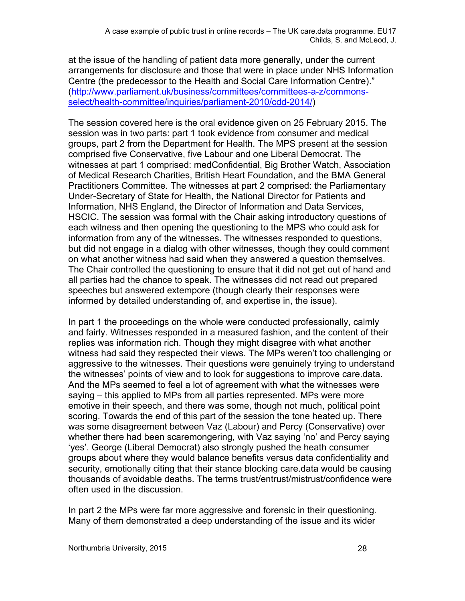at the issue of the handling of patient data more generally, under the current arrangements for disclosure and those that were in place under NHS Information Centre (the predecessor to the Health and Social Care Information Centre)." [\(http://www.parliament.uk/business/committees/committees-a-z/commons](http://www.parliament.uk/business/committees/committees-a-z/commons-select/health-committee/inquiries/parliament-2010/cdd-2014/)[select/health-committee/inquiries/parliament-2010/cdd-2014/\)](http://www.parliament.uk/business/committees/committees-a-z/commons-select/health-committee/inquiries/parliament-2010/cdd-2014/)

The session covered here is the oral evidence given on 25 February 2015. The session was in two parts: part 1 took evidence from consumer and medical groups, part 2 from the Department for Health. The MPS present at the session comprised five Conservative, five Labour and one Liberal Democrat. The witnesses at part 1 comprised: medConfidential, Big Brother Watch, Association of Medical Research Charities, British Heart Foundation, and the BMA General Practitioners Committee. The witnesses at part 2 comprised: the Parliamentary Under-Secretary of State for Health, the National Director for Patients and Information, NHS England, the Director of Information and Data Services, HSCIC. The session was formal with the Chair asking introductory questions of each witness and then opening the questioning to the MPS who could ask for information from any of the witnesses. The witnesses responded to questions, but did not engage in a dialog with other witnesses, though they could comment on what another witness had said when they answered a question themselves. The Chair controlled the questioning to ensure that it did not get out of hand and all parties had the chance to speak. The witnesses did not read out prepared speeches but answered extempore (though clearly their responses were informed by detailed understanding of, and expertise in, the issue).

In part 1 the proceedings on the whole were conducted professionally, calmly and fairly. Witnesses responded in a measured fashion, and the content of their replies was information rich. Though they might disagree with what another witness had said they respected their views. The MPs weren't too challenging or aggressive to the witnesses. Their questions were genuinely trying to understand the witnesses' points of view and to look for suggestions to improve care.data. And the MPs seemed to feel a lot of agreement with what the witnesses were saying – this applied to MPs from all parties represented. MPs were more emotive in their speech, and there was some, though not much, political point scoring. Towards the end of this part of the session the tone heated up. There was some disagreement between Vaz (Labour) and Percy (Conservative) over whether there had been scaremongering, with Vaz saying 'no' and Percy saying 'yes'. George (Liberal Democrat) also strongly pushed the heath consumer groups about where they would balance benefits versus data confidentiality and security, emotionally citing that their stance blocking care.data would be causing thousands of avoidable deaths. The terms trust/entrust/mistrust/confidence were often used in the discussion.

In part 2 the MPs were far more aggressive and forensic in their questioning. Many of them demonstrated a deep understanding of the issue and its wider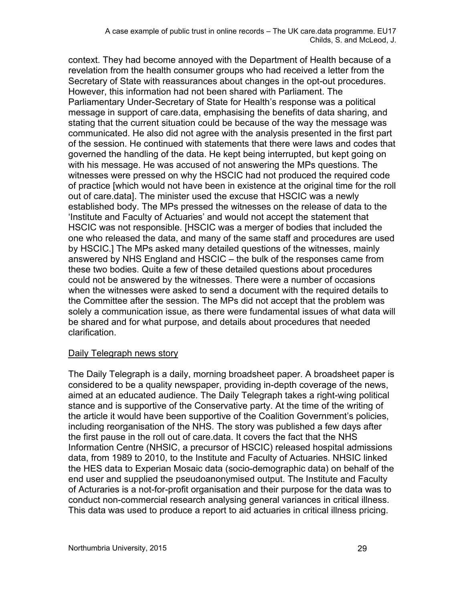context. They had become annoyed with the Department of Health because of a revelation from the health consumer groups who had received a letter from the Secretary of State with reassurances about changes in the opt-out procedures. However, this information had not been shared with Parliament. The Parliamentary Under-Secretary of State for Health's response was a political message in support of care.data, emphasising the benefits of data sharing, and stating that the current situation could be because of the way the message was communicated. He also did not agree with the analysis presented in the first part of the session. He continued with statements that there were laws and codes that governed the handling of the data. He kept being interrupted, but kept going on with his message. He was accused of not answering the MPs questions. The witnesses were pressed on why the HSCIC had not produced the required code of practice [which would not have been in existence at the original time for the roll out of care.data]. The minister used the excuse that HSCIC was a newly established body. The MPs pressed the witnesses on the release of data to the 'Institute and Faculty of Actuaries' and would not accept the statement that HSCIC was not responsible. [HSCIC was a merger of bodies that included the one who released the data, and many of the same staff and procedures are used by HSCIC.] The MPs asked many detailed questions of the witnesses, mainly answered by NHS England and HSCIC – the bulk of the responses came from these two bodies. Quite a few of these detailed questions about procedures could not be answered by the witnesses. There were a number of occasions when the witnesses were asked to send a document with the required details to the Committee after the session. The MPs did not accept that the problem was solely a communication issue, as there were fundamental issues of what data will be shared and for what purpose, and details about procedures that needed clarification.

#### Daily Telegraph news story

The Daily Telegraph is a daily, morning broadsheet paper. A broadsheet paper is considered to be a quality newspaper, providing in-depth coverage of the news, aimed at an educated audience. The Daily Telegraph takes a right-wing political stance and is supportive of the Conservative party. At the time of the writing of the article it would have been supportive of the Coalition Government's policies, including reorganisation of the NHS. The story was published a few days after the first pause in the roll out of care.data. It covers the fact that the NHS Information Centre (NHSIC, a precursor of HSCIC) released hospital admissions data, from 1989 to 2010, to the Institute and Faculty of Actuaries. NHSIC linked the HES data to Experian Mosaic data (socio-demographic data) on behalf of the end user and supplied the pseudoanonymised output. The Institute and Faculty of Acturaries is a not-for-profit organisation and their purpose for the data was to conduct non-commercial research analysing general variances in critical illness. This data was used to produce a report to aid actuaries in critical illness pricing.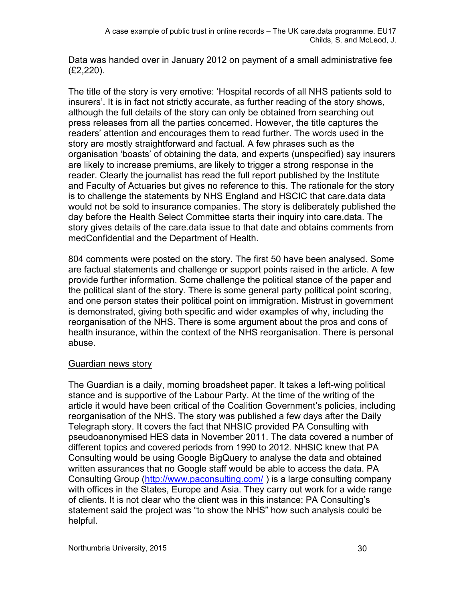Data was handed over in January 2012 on payment of a small administrative fee (£2,220).

The title of the story is very emotive: 'Hospital records of all NHS patients sold to insurers'. It is in fact not strictly accurate, as further reading of the story shows, although the full details of the story can only be obtained from searching out press releases from all the parties concerned. However, the title captures the readers' attention and encourages them to read further. The words used in the story are mostly straightforward and factual. A few phrases such as the organisation 'boasts' of obtaining the data, and experts (unspecified) say insurers are likely to increase premiums, are likely to trigger a strong response in the reader. Clearly the journalist has read the full report published by the Institute and Faculty of Actuaries but gives no reference to this. The rationale for the story is to challenge the statements by NHS England and HSCIC that care.data data would not be sold to insurance companies. The story is deliberately published the day before the Health Select Committee starts their inquiry into care.data. The story gives details of the care.data issue to that date and obtains comments from medConfidential and the Department of Health.

804 comments were posted on the story. The first 50 have been analysed. Some are factual statements and challenge or support points raised in the article. A few provide further information. Some challenge the political stance of the paper and the political slant of the story. There is some general party political point scoring, and one person states their political point on immigration. Mistrust in government is demonstrated, giving both specific and wider examples of why, including the reorganisation of the NHS. There is some argument about the pros and cons of health insurance, within the context of the NHS reorganisation. There is personal abuse.

#### Guardian news story

The Guardian is a daily, morning broadsheet paper. It takes a left-wing political stance and is supportive of the Labour Party. At the time of the writing of the article it would have been critical of the Coalition Government's policies, including reorganisation of the NHS. The story was published a few days after the Daily Telegraph story. It covers the fact that NHSIC provided PA Consulting with pseudoanonymised HES data in November 2011. The data covered a number of different topics and covered periods from 1990 to 2012. NHSIC knew that PA Consulting would be using Google BigQuery to analyse the data and obtained written assurances that no Google staff would be able to access the data. PA Consulting Group [\(http://www.paconsulting.com/](http://www.paconsulting.com/)) is a large consulting company with offices in the States, Europe and Asia. They carry out work for a wide range of clients. It is not clear who the client was in this instance: PA Consulting's statement said the project was "to show the NHS" how such analysis could be helpful.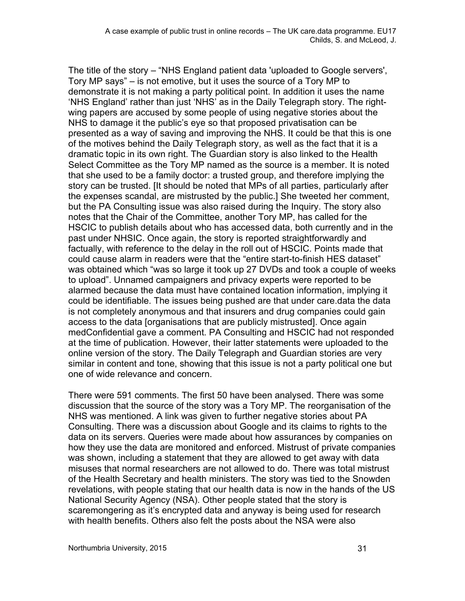The title of the story – "NHS England patient data 'uploaded to Google servers', Tory MP says" – is not emotive, but it uses the source of a Tory MP to demonstrate it is not making a party political point. In addition it uses the name 'NHS England' rather than just 'NHS' as in the Daily Telegraph story. The rightwing papers are accused by some people of using negative stories about the NHS to damage it the public's eye so that proposed privatisation can be presented as a way of saving and improving the NHS. It could be that this is one of the motives behind the Daily Telegraph story, as well as the fact that it is a dramatic topic in its own right. The Guardian story is also linked to the Health Select Committee as the Tory MP named as the source is a member. It is noted that she used to be a family doctor: a trusted group, and therefore implying the story can be trusted. [It should be noted that MPs of all parties, particularly after the expenses scandal, are mistrusted by the public.] She tweeted her comment, but the PA Consulting issue was also raised during the Inquiry. The story also notes that the Chair of the Committee, another Tory MP, has called for the HSCIC to publish details about who has accessed data, both currently and in the past under NHSIC. Once again, the story is reported straightforwardly and factually, with reference to the delay in the roll out of HSCIC. Points made that could cause alarm in readers were that the "entire start-to-finish HES dataset" was obtained which "was so large it took up 27 DVDs and took a couple of weeks to upload". Unnamed campaigners and privacy experts were reported to be alarmed because the data must have contained location information, implying it could be identifiable. The issues being pushed are that under care.data the data is not completely anonymous and that insurers and drug companies could gain access to the data [organisations that are publicly mistrusted]. Once again medConfidential gave a comment. PA Consulting and HSCIC had not responded at the time of publication. However, their latter statements were uploaded to the online version of the story. The Daily Telegraph and Guardian stories are very similar in content and tone, showing that this issue is not a party political one but one of wide relevance and concern.

There were 591 comments. The first 50 have been analysed. There was some discussion that the source of the story was a Tory MP. The reorganisation of the NHS was mentioned. A link was given to further negative stories about PA Consulting. There was a discussion about Google and its claims to rights to the data on its servers. Queries were made about how assurances by companies on how they use the data are monitored and enforced. Mistrust of private companies was shown, including a statement that they are allowed to get away with data misuses that normal researchers are not allowed to do. There was total mistrust of the Health Secretary and health ministers. The story was tied to the Snowden revelations, with people stating that our health data is now in the hands of the US National Security Agency (NSA). Other people stated that the story is scaremongering as it's encrypted data and anyway is being used for research with health benefits. Others also felt the posts about the NSA were also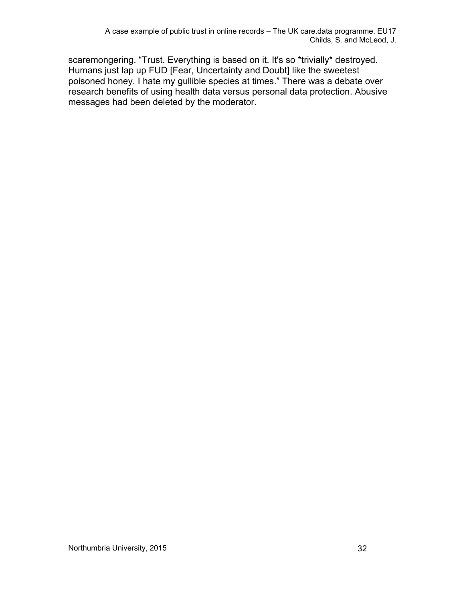scaremongering. "Trust. Everything is based on it. It's so \*trivially\* destroyed. Humans just lap up FUD [Fear, Uncertainty and Doubt] like the sweetest poisoned honey. I hate my gullible species at times." There was a debate over research benefits of using health data versus personal data protection. Abusive messages had been deleted by the moderator.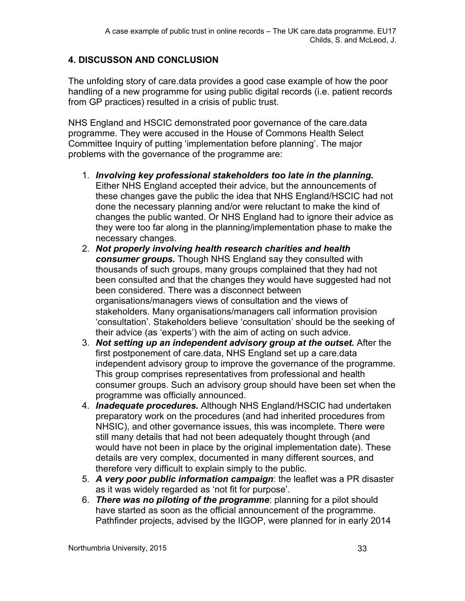#### **4. DISCUSSON AND CONCLUSION**

The unfolding story of care.data provides a good case example of how the poor handling of a new programme for using public digital records (i.e. patient records from GP practices) resulted in a crisis of public trust.

NHS England and HSCIC demonstrated poor governance of the care.data programme. They were accused in the House of Commons Health Select Committee Inquiry of putting 'implementation before planning'. The major problems with the governance of the programme are:

- 1. *Involving key professional stakeholders too late in the planning.* Either NHS England accepted their advice, but the announcements of these changes gave the public the idea that NHS England/HSCIC had not done the necessary planning and/or were reluctant to make the kind of changes the public wanted. Or NHS England had to ignore their advice as they were too far along in the planning/implementation phase to make the necessary changes.
- 2. *Not properly involving health research charities and health consumer groups.* Though NHS England say they consulted with thousands of such groups, many groups complained that they had not been consulted and that the changes they would have suggested had not been considered. There was a disconnect between organisations/managers views of consultation and the views of stakeholders. Many organisations/managers call information provision 'consultation'. Stakeholders believe 'consultation' should be the seeking of their advice (as 'experts') with the aim of acting on such advice.
- 3. *Not setting up an independent advisory group at the outset.* After the first postponement of care.data, NHS England set up a care.data independent advisory group to improve the governance of the programme. This group comprises representatives from professional and health consumer groups. Such an advisory group should have been set when the programme was officially announced.
- 4. *Inadequate procedures.* Although NHS England/HSCIC had undertaken preparatory work on the procedures (and had inherited procedures from NHSIC), and other governance issues, this was incomplete. There were still many details that had not been adequately thought through (and would have not been in place by the original implementation date). These details are very complex, documented in many different sources, and therefore very difficult to explain simply to the public.
- 5. *A very poor public information campaign*: the leaflet was a PR disaster as it was widely regarded as 'not fit for purpose'.
- 6. *There was no piloting of the programme*: planning for a pilot should have started as soon as the official announcement of the programme. Pathfinder projects, advised by the IIGOP, were planned for in early 2014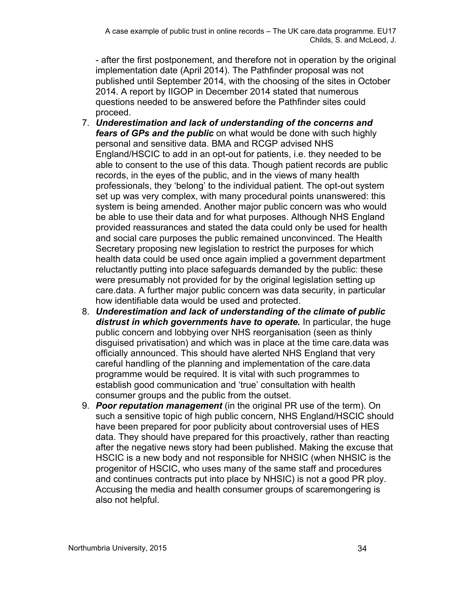- after the first postponement, and therefore not in operation by the original implementation date (April 2014). The Pathfinder proposal was not published until September 2014, with the choosing of the sites in October 2014. A report by IIGOP in December 2014 stated that numerous questions needed to be answered before the Pathfinder sites could proceed.

- 7. *Underestimation and lack of understanding of the concerns and fears of GPs and the public* on what would be done with such highly personal and sensitive data. BMA and RCGP advised NHS England/HSCIC to add in an opt-out for patients, i.e. they needed to be able to consent to the use of this data. Though patient records are public records, in the eyes of the public, and in the views of many health professionals, they 'belong' to the individual patient. The opt-out system set up was very complex, with many procedural points unanswered: this system is being amended. Another major public concern was who would be able to use their data and for what purposes. Although NHS England provided reassurances and stated the data could only be used for health and social care purposes the public remained unconvinced. The Health Secretary proposing new legislation to restrict the purposes for which health data could be used once again implied a government department reluctantly putting into place safeguards demanded by the public: these were presumably not provided for by the original legislation setting up care.data. A further major public concern was data security, in particular how identifiable data would be used and protected.
- 8. *Underestimation and lack of understanding of the climate of public distrust in which governments have to operate.* In particular, the huge public concern and lobbying over NHS reorganisation (seen as thinly disguised privatisation) and which was in place at the time care.data was officially announced. This should have alerted NHS England that very careful handling of the planning and implementation of the care.data programme would be required. It is vital with such programmes to establish good communication and 'true' consultation with health consumer groups and the public from the outset.
- 9. *Poor reputation management* (in the original PR use of the term). On such a sensitive topic of high public concern, NHS England/HSCIC should have been prepared for poor publicity about controversial uses of HES data. They should have prepared for this proactively, rather than reacting after the negative news story had been published. Making the excuse that HSCIC is a new body and not responsible for NHSIC (when NHSIC is the progenitor of HSCIC, who uses many of the same staff and procedures and continues contracts put into place by NHSIC) is not a good PR ploy. Accusing the media and health consumer groups of scaremongering is also not helpful.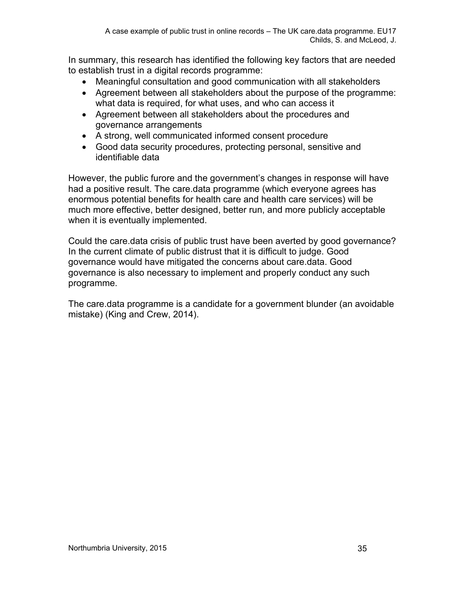In summary, this research has identified the following key factors that are needed to establish trust in a digital records programme:

- Meaningful consultation and good communication with all stakeholders
- Agreement between all stakeholders about the purpose of the programme: what data is required, for what uses, and who can access it
- Agreement between all stakeholders about the procedures and governance arrangements
- A strong, well communicated informed consent procedure
- Good data security procedures, protecting personal, sensitive and identifiable data

However, the public furore and the government's changes in response will have had a positive result. The care.data programme (which everyone agrees has enormous potential benefits for health care and health care services) will be much more effective, better designed, better run, and more publicly acceptable when it is eventually implemented.

Could the care.data crisis of public trust have been averted by good governance? In the current climate of public distrust that it is difficult to judge. Good governance would have mitigated the concerns about care.data. Good governance is also necessary to implement and properly conduct any such programme.

The care.data programme is a candidate for a government blunder (an avoidable mistake) (King and Crew, 2014).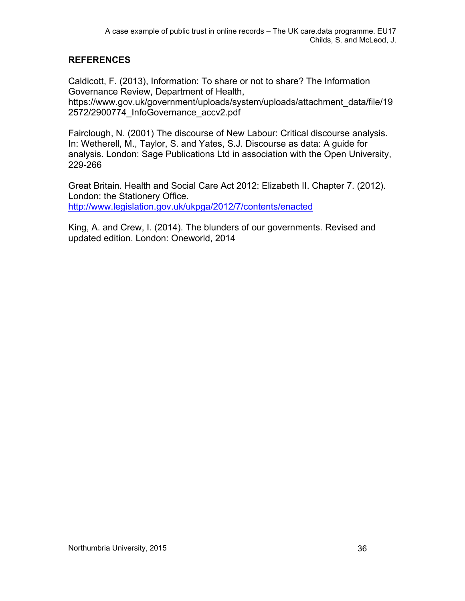#### **REFERENCES**

Caldicott, F. (2013), Information: To share or not to share? The Information Governance Review, Department of Health,

https://www.gov.uk/government/uploads/system/uploads/attachment\_data/file/19 2572/2900774\_InfoGovernance\_accv2.pdf

Fairclough, N. (2001) The discourse of New Labour: Critical discourse analysis. In: Wetherell, M., Taylor, S. and Yates, S.J. Discourse as data: A guide for analysis. London: Sage Publications Ltd in association with the Open University, 229-266

Great Britain. Health and Social Care Act 2012: Elizabeth II. Chapter 7. (2012). London: the Stationery Office. <http://www.legislation.gov.uk/ukpga/2012/7/contents/enacted>

King, A. and Crew, I. (2014). The blunders of our governments. Revised and updated edition. London: Oneworld, 2014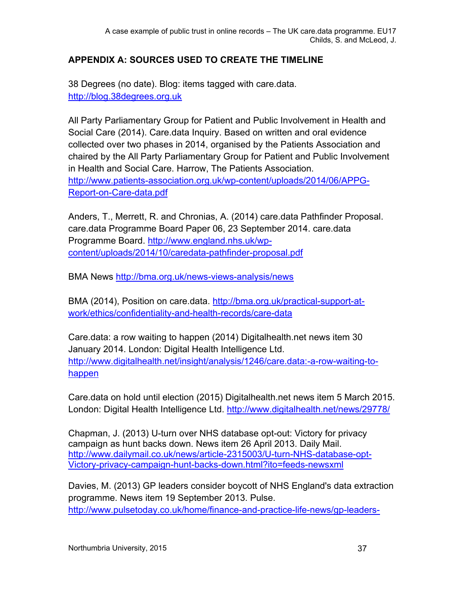## **APPENDIX A: SOURCES USED TO CREATE THE TIMELINE**

38 Degrees (no date). Blog: items tagged with care.data. [http://blog.38degrees.org.uk](http://blog.38degrees.org.uk/)

All Party Parliamentary Group for Patient and Public Involvement in Health and Social Care (2014). Care.data Inquiry. Based on written and oral evidence collected over two phases in 2014, organised by the Patients Association and chaired by the All Party Parliamentary Group for Patient and Public Involvement in Health and Social Care. Harrow, The Patients Association. [http://www.patients-association.org.uk/wp-content/uploads/2014/06/APPG-](http://www.patients-association.org.uk/wp-content/uploads/2014/06/APPG-Report-on-Care-data.pdf)[Report-on-Care-data.pdf](http://www.patients-association.org.uk/wp-content/uploads/2014/06/APPG-Report-on-Care-data.pdf)

Anders, T., Merrett, R. and Chronias, A. (2014) care.data Pathfinder Proposal. care.data Programme Board Paper 06, 23 September 2014. care.data Programme Board. [http://www.england.nhs.uk/wp](http://www.england.nhs.uk/wp-content/uploads/2014/10/caredata-pathfinder-proposal.pdf)[content/uploads/2014/10/caredata-pathfinder-proposal.pdf](http://www.england.nhs.uk/wp-content/uploads/2014/10/caredata-pathfinder-proposal.pdf)

BMA News<http://bma.org.uk/news-views-analysis/news>

BMA (2014), Position on care.data. [http://bma.org.uk/practical-support-at](http://bma.org.uk/practical-support-at-work/ethics/confidentiality-and-health-records/care-data)[work/ethics/confidentiality-and-health-records/care-data](http://bma.org.uk/practical-support-at-work/ethics/confidentiality-and-health-records/care-data)

Care.data: a row waiting to happen (2014) Digitalhealth.net news item 30 January 2014. London: Digital Health Intelligence Ltd. [http://www.digitalhealth.net/insight/analysis/1246/care.data:-a-row-waiting-to](http://www.digitalhealth.net/insight/analysis/1246/care.data:-a-row-waiting-to-happen)[happen](http://www.digitalhealth.net/insight/analysis/1246/care.data:-a-row-waiting-to-happen)

Care.data on hold until election (2015) Digitalhealth.net news item 5 March 2015. London: Digital Health Intelligence Ltd.<http://www.digitalhealth.net/news/29778/>

Chapman, J. (2013) U-turn over NHS database opt-out: Victory for privacy campaign as hunt backs down. News item 26 April 2013. Daily Mail. [http://www.dailymail.co.uk/news/article-2315003/U-turn-NHS-database-opt-](http://www.dailymail.co.uk/news/article-2315003/U-turn-NHS-database-opt-Victory-privacy-campaign-hunt-backs-down.html?ito=feeds-newsxml)[Victory-privacy-campaign-hunt-backs-down.html?ito=feeds-newsxml](http://www.dailymail.co.uk/news/article-2315003/U-turn-NHS-database-opt-Victory-privacy-campaign-hunt-backs-down.html?ito=feeds-newsxml)

Davies, M. (2013) GP leaders consider boycott of NHS England's data extraction programme. News item 19 September 2013. Pulse. [http://www.pulsetoday.co.uk/home/finance-and-practice-life-news/gp-leaders-](http://www.pulsetoday.co.uk/home/finance-and-practice-life-news/gp-leaders-consider-boycott-of-nhs-englands-data-extraction-programme/20004354.article#.VVBsCXJ0yih)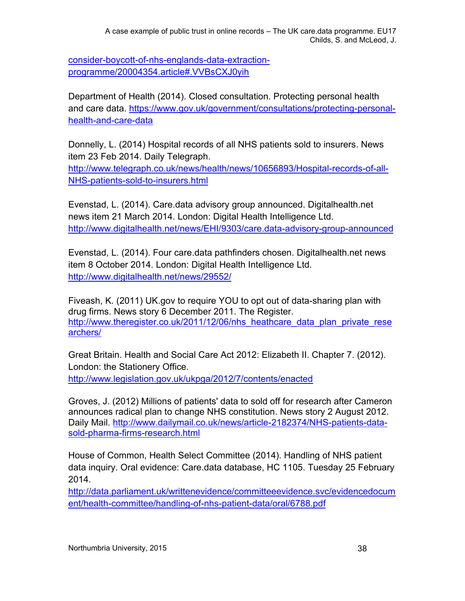[consider-boycott-of-nhs-englands-data-extraction](http://www.pulsetoday.co.uk/home/finance-and-practice-life-news/gp-leaders-consider-boycott-of-nhs-englands-data-extraction-programme/20004354.article#.VVBsCXJ0yih)[programme/20004354.article#.VVBsCXJ0yih](http://www.pulsetoday.co.uk/home/finance-and-practice-life-news/gp-leaders-consider-boycott-of-nhs-englands-data-extraction-programme/20004354.article#.VVBsCXJ0yih)

Department of Health (2014). Closed consultation. Protecting personal health and care data. [https://www.gov.uk/government/consultations/protecting-personal](https://www.gov.uk/government/consultations/protecting-personal-health-and-care-data)[health-and-care-data](https://www.gov.uk/government/consultations/protecting-personal-health-and-care-data)

Donnelly, L. (2014) Hospital records of all NHS patients sold to insurers. News item 23 Feb 2014. Daily Telegraph.

[http://www.telegraph.co.uk/news/health/news/10656893/Hospital-records-of-all-](http://www.telegraph.co.uk/news/health/news/10656893/Hospital-records-of-all-NHS-patients-sold-to-insurers.html)[NHS-patients-sold-to-insurers.html](http://www.telegraph.co.uk/news/health/news/10656893/Hospital-records-of-all-NHS-patients-sold-to-insurers.html)

Evenstad, L. (2014). Care.data advisory group announced. Digitalhealth.net news item 21 March 2014. London: Digital Health Intelligence Ltd. <http://www.digitalhealth.net/news/EHI/9303/care.data-advisory-group-announced>

Evenstad, L. (2014). Four care.data pathfinders chosen. Digitalhealth.net news item 8 October 2014. London: Digital Health Intelligence Ltd. <http://www.digitalhealth.net/news/29552/>

Fiveash, K. (2011) UK.gov to require YOU to opt out of data-sharing plan with drug firms. News story 6 December 2011. The Register. [http://www.theregister.co.uk/2011/12/06/nhs\\_heathcare\\_data\\_plan\\_private\\_rese](http://www.theregister.co.uk/2011/12/06/nhs_heathcare_data_plan_private_researchers/) [archers/](http://www.theregister.co.uk/2011/12/06/nhs_heathcare_data_plan_private_researchers/)

Great Britain. Health and Social Care Act 2012: Elizabeth II. Chapter 7. (2012). London: the Stationery Office. <http://www.legislation.gov.uk/ukpga/2012/7/contents/enacted>

Groves, J. (2012) Millions of patients' data to sold off for research after Cameron announces radical plan to change NHS constitution. News story 2 August 2012. Daily Mail. [http://www.dailymail.co.uk/news/article-2182374/NHS-patients-data](http://www.dailymail.co.uk/news/article-2182374/NHS-patients-data-sold-pharma-firms-research.html)[sold-pharma-firms-research.html](http://www.dailymail.co.uk/news/article-2182374/NHS-patients-data-sold-pharma-firms-research.html)

House of Common, Health Select Committee (2014). Handling of NHS patient data inquiry. Oral evidence: Care.data database, HC 1105. Tuesday 25 February 2014.

[http://data.parliament.uk/writtenevidence/committeeevidence.svc/evidencedocum](http://data.parliament.uk/writtenevidence/committeeevidence.svc/evidencedocument/health-committee/handling-of-nhs-patient-data/oral/6788.pdf) [ent/health-committee/handling-of-nhs-patient-data/oral/6788.pdf](http://data.parliament.uk/writtenevidence/committeeevidence.svc/evidencedocument/health-committee/handling-of-nhs-patient-data/oral/6788.pdf)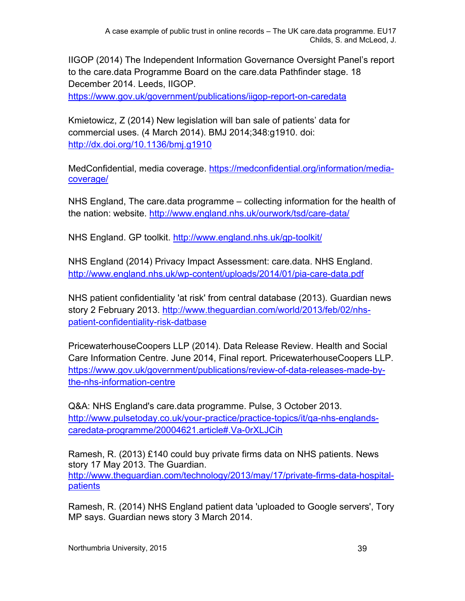IIGOP (2014) The Independent Information Governance Oversight Panel's report to the care.data Programme Board on the care.data Pathfinder stage. 18 December 2014. Leeds, IIGOP.

<https://www.gov.uk/government/publications/iigop-report-on-caredata>

Kmietowicz, Z (2014) New legislation will ban sale of patients' data for commercial uses. (4 March 2014). BMJ 2014;348:g1910. doi: <http://dx.doi.org/10.1136/bmj.g1910>

MedConfidential, media coverage. [https://medconfidential.org/information/media](https://medconfidential.org/information/media-coverage/)[coverage/](https://medconfidential.org/information/media-coverage/)

NHS England, The care.data programme – collecting information for the health of the nation: website.<http://www.england.nhs.uk/ourwork/tsd/care-data/>

NHS England. GP toolkit.<http://www.england.nhs.uk/gp-toolkit/>

NHS England (2014) Privacy Impact Assessment: care.data. NHS England. <http://www.england.nhs.uk/wp-content/uploads/2014/01/pia-care-data.pdf>

NHS patient confidentiality 'at risk' from central database (2013). Guardian news story 2 February 2013. [http://www.theguardian.com/world/2013/feb/02/nhs](http://www.theguardian.com/world/2013/feb/02/nhs-patient-confidentiality-risk-datbase)[patient-confidentiality-risk-datbase](http://www.theguardian.com/world/2013/feb/02/nhs-patient-confidentiality-risk-datbase)

PricewaterhouseCoopers LLP (2014). Data Release Review. Health and Social Care Information Centre. June 2014, Final report. PricewaterhouseCoopers LLP. [https://www.gov.uk/government/publications/review-of-data-releases-made-by](https://www.gov.uk/government/publications/review-of-data-releases-made-by-the-nhs-information-centre)[the-nhs-information-centre](https://www.gov.uk/government/publications/review-of-data-releases-made-by-the-nhs-information-centre)

Q&A: NHS England's care.data programme. Pulse, 3 October 2013. [http://www.pulsetoday.co.uk/your-practice/practice-topics/it/qa-nhs-englands](http://www.pulsetoday.co.uk/your-practice/practice-topics/it/qa-nhs-englands-caredata-programme/20004621.article#.Va-0rXLJCih)[caredata-programme/20004621.article#.Va-0rXLJCih](http://www.pulsetoday.co.uk/your-practice/practice-topics/it/qa-nhs-englands-caredata-programme/20004621.article#.Va-0rXLJCih)

Ramesh, R. (2013) £140 could buy private firms data on NHS patients. News story 17 May 2013. The Guardian. [http://www.theguardian.com/technology/2013/may/17/private-firms-data-hospital](http://www.theguardian.com/technology/2013/may/17/private-firms-data-hospital-patients)[patients](http://www.theguardian.com/technology/2013/may/17/private-firms-data-hospital-patients)

Ramesh, R. (2014) NHS England patient data 'uploaded to Google servers', Tory MP says. Guardian news story 3 March 2014.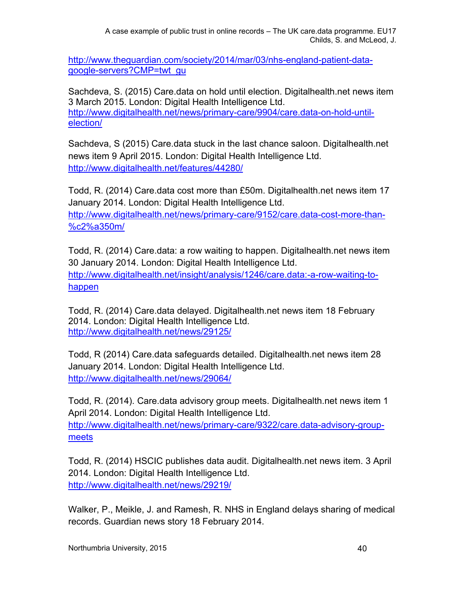A case example of public trust in online records – The UK care.data programme. EU17 Childs, S. and McLeod, J.

[http://www.theguardian.com/society/2014/mar/03/nhs-england-patient-data](http://www.theguardian.com/society/2014/mar/03/nhs-england-patient-data-google-servers?CMP=twt_gu)[google-servers?CMP=twt\\_gu](http://www.theguardian.com/society/2014/mar/03/nhs-england-patient-data-google-servers?CMP=twt_gu)

Sachdeva, S. (2015) Care.data on hold until election. Digitalhealth.net news item 3 March 2015. London: Digital Health Intelligence Ltd. [http://www.digitalhealth.net/news/primary-care/9904/care.data-on-hold-until](http://www.digitalhealth.net/news/primary-care/9904/care.data-on-hold-until-election/)[election/](http://www.digitalhealth.net/news/primary-care/9904/care.data-on-hold-until-election/)

Sachdeva, S (2015) Care.data stuck in the last chance saloon. Digitalhealth.net news item 9 April 2015. London: Digital Health Intelligence Ltd. <http://www.digitalhealth.net/features/44280/>

Todd, R. (2014) Care.data cost more than £50m. Digitalhealth.net news item 17 January 2014. London: Digital Health Intelligence Ltd.

[http://www.digitalhealth.net/news/primary-care/9152/care.data-cost-more-than-](http://www.digitalhealth.net/news/primary-care/9152/care.data-cost-more-than-%c2%a350m/) [%c2%a350m/](http://www.digitalhealth.net/news/primary-care/9152/care.data-cost-more-than-%c2%a350m/)

Todd, R. (2014) Care.data: a row waiting to happen. Digitalhealth.net news item 30 January 2014. London: Digital Health Intelligence Ltd. [http://www.digitalhealth.net/insight/analysis/1246/care.data:-a-row-waiting-to](http://www.digitalhealth.net/insight/analysis/1246/care.data:-a-row-waiting-to-happen)[happen](http://www.digitalhealth.net/insight/analysis/1246/care.data:-a-row-waiting-to-happen)

Todd, R. (2014) Care.data delayed. Digitalhealth.net news item 18 February 2014. London: Digital Health Intelligence Ltd. <http://www.digitalhealth.net/news/29125/>

Todd, R (2014) Care.data safeguards detailed. Digitalhealth.net news item 28 January 2014. London: Digital Health Intelligence Ltd. <http://www.digitalhealth.net/news/29064/>

Todd, R. (2014). Care.data advisory group meets. Digitalhealth.net news item 1 April 2014. London: Digital Health Intelligence Ltd. [http://www.digitalhealth.net/news/primary-care/9322/care.data-advisory-group](http://www.digitalhealth.net/news/primary-care/9322/care.data-advisory-group-meets)[meets](http://www.digitalhealth.net/news/primary-care/9322/care.data-advisory-group-meets)

Todd, R. (2014) HSCIC publishes data audit. Digitalhealth.net news item. 3 April 2014. London: Digital Health Intelligence Ltd. <http://www.digitalhealth.net/news/29219/>

Walker, P., Meikle, J. and Ramesh, R. NHS in England delays sharing of medical records. Guardian news story 18 February 2014.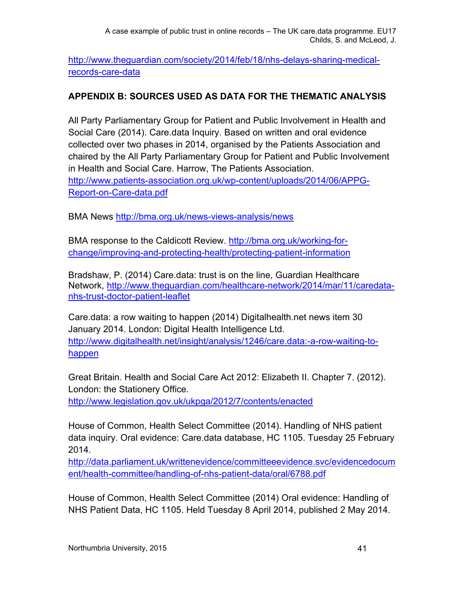[http://www.theguardian.com/society/2014/feb/18/nhs-delays-sharing-medical](http://www.theguardian.com/society/2014/feb/18/nhs-delays-sharing-medical-records-care-data)[records-care-data](http://www.theguardian.com/society/2014/feb/18/nhs-delays-sharing-medical-records-care-data)

## **APPENDIX B: SOURCES USED AS DATA FOR THE THEMATIC ANALYSIS**

All Party Parliamentary Group for Patient and Public Involvement in Health and Social Care (2014). Care.data Inquiry. Based on written and oral evidence collected over two phases in 2014, organised by the Patients Association and chaired by the All Party Parliamentary Group for Patient and Public Involvement in Health and Social Care. Harrow, The Patients Association. [http://www.patients-association.org.uk/wp-content/uploads/2014/06/APPG-](http://www.patients-association.org.uk/wp-content/uploads/2014/06/APPG-Report-on-Care-data.pdf)[Report-on-Care-data.pdf](http://www.patients-association.org.uk/wp-content/uploads/2014/06/APPG-Report-on-Care-data.pdf)

BMA News<http://bma.org.uk/news-views-analysis/news>

BMA response to the Caldicott Review. [http://bma.org.uk/working-for](http://bma.org.uk/working-for-change/improving-and-protecting-health/protecting-patient-information)[change/improving-and-protecting-health/protecting-patient-information](http://bma.org.uk/working-for-change/improving-and-protecting-health/protecting-patient-information)

Bradshaw, P. (2014) Care.data: trust is on the line, Guardian Healthcare Network, [http://www.theguardian.com/healthcare-network/2014/mar/11/caredata](http://www.theguardian.com/healthcare-network/2014/mar/11/caredata-nhs-trust-doctor-patient-leaflet)[nhs-trust-doctor-patient-leaflet](http://www.theguardian.com/healthcare-network/2014/mar/11/caredata-nhs-trust-doctor-patient-leaflet)

Care.data: a row waiting to happen (2014) Digitalhealth.net news item 30 January 2014. London: Digital Health Intelligence Ltd. [http://www.digitalhealth.net/insight/analysis/1246/care.data:-a-row-waiting-to](http://www.digitalhealth.net/insight/analysis/1246/care.data:-a-row-waiting-to-happen)[happen](http://www.digitalhealth.net/insight/analysis/1246/care.data:-a-row-waiting-to-happen)

Great Britain. Health and Social Care Act 2012: Elizabeth II. Chapter 7. (2012). London: the Stationery Office.

<http://www.legislation.gov.uk/ukpga/2012/7/contents/enacted>

House of Common, Health Select Committee (2014). Handling of NHS patient data inquiry. Oral evidence: Care.data database, HC 1105. Tuesday 25 February 2014.

[http://data.parliament.uk/writtenevidence/committeeevidence.svc/evidencedocum](http://data.parliament.uk/writtenevidence/committeeevidence.svc/evidencedocument/health-committee/handling-of-nhs-patient-data/oral/6788.pdf) [ent/health-committee/handling-of-nhs-patient-data/oral/6788.pdf](http://data.parliament.uk/writtenevidence/committeeevidence.svc/evidencedocument/health-committee/handling-of-nhs-patient-data/oral/6788.pdf)

House of Common, Health Select Committee (2014) Oral evidence: Handling of NHS Patient Data, HC 1105. Held Tuesday 8 April 2014, published 2 May 2014.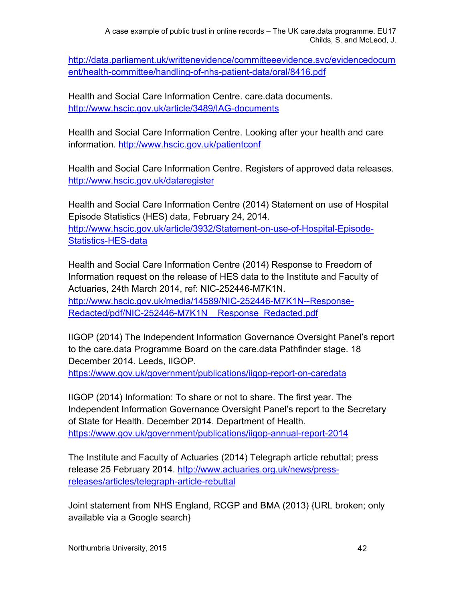A case example of public trust in online records – The UK care.data programme. EU17 Childs, S. and McLeod, J.

[http://data.parliament.uk/writtenevidence/committeeevidence.svc/evidencedocum](http://data.parliament.uk/writtenevidence/committeeevidence.svc/evidencedocument/health-committee/handling-of-nhs-patient-data/oral/8416.pdf) [ent/health-committee/handling-of-nhs-patient-data/oral/8416.pdf](http://data.parliament.uk/writtenevidence/committeeevidence.svc/evidencedocument/health-committee/handling-of-nhs-patient-data/oral/8416.pdf)

Health and Social Care Information Centre. care.data documents. <http://www.hscic.gov.uk/article/3489/IAG-documents>

Health and Social Care Information Centre. Looking after your health and care information.<http://www.hscic.gov.uk/patientconf>

Health and Social Care Information Centre. Registers of approved data releases. <http://www.hscic.gov.uk/dataregister>

Health and Social Care Information Centre (2014) Statement on use of Hospital Episode Statistics (HES) data, February 24, 2014. [http://www.hscic.gov.uk/article/3932/Statement-on-use-of-Hospital-Episode-](http://www.hscic.gov.uk/article/3932/Statement-on-use-of-Hospital-Episode-Statistics-HES-data)[Statistics-HES-data](http://www.hscic.gov.uk/article/3932/Statement-on-use-of-Hospital-Episode-Statistics-HES-data)

Health and Social Care Information Centre (2014) Response to Freedom of Information request on the release of HES data to the Institute and Faculty of Actuaries, 24th March 2014, ref: NIC-252446-M7K1N. [http://www.hscic.gov.uk/media/14589/NIC-252446-M7K1N--Response-](http://www.hscic.gov.uk/media/14589/NIC-252446-M7K1N--Response-Redacted/pdf/NIC-252446-M7K1N__Response_Redacted.pdf)[Redacted/pdf/NIC-252446-M7K1N\\_\\_Response\\_Redacted.pdf](http://www.hscic.gov.uk/media/14589/NIC-252446-M7K1N--Response-Redacted/pdf/NIC-252446-M7K1N__Response_Redacted.pdf)

IIGOP (2014) The Independent Information Governance Oversight Panel's report to the care.data Programme Board on the care.data Pathfinder stage. 18 December 2014. Leeds, IIGOP.

<https://www.gov.uk/government/publications/iigop-report-on-caredata>

IIGOP (2014) Information: To share or not to share. The first year. The Independent Information Governance Oversight Panel's report to the Secretary of State for Health. December 2014. Department of Health. <https://www.gov.uk/government/publications/iigop-annual-report-2014>

The Institute and Faculty of Actuaries (2014) Telegraph article rebuttal; press release 25 February 2014. [http://www.actuaries.org.uk/news/press](http://www.actuaries.org.uk/news/press-releases/articles/telegraph-article-rebuttal)[releases/articles/telegraph-article-rebuttal](http://www.actuaries.org.uk/news/press-releases/articles/telegraph-article-rebuttal)

Joint statement from NHS England, RCGP and BMA (2013) {URL broken; only available via a Google search}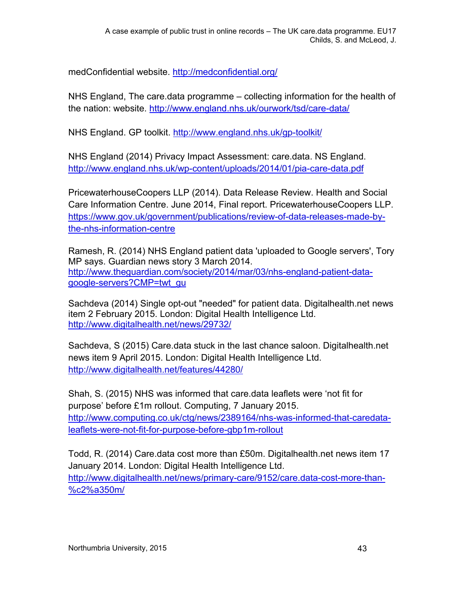medConfidential website.<http://medconfidential.org/>

NHS England, The care.data programme – collecting information for the health of the nation: website.<http://www.england.nhs.uk/ourwork/tsd/care-data/>

NHS England. GP toolkit.<http://www.england.nhs.uk/gp-toolkit/>

NHS England (2014) Privacy Impact Assessment: care.data. NS England. <http://www.england.nhs.uk/wp-content/uploads/2014/01/pia-care-data.pdf>

PricewaterhouseCoopers LLP (2014). Data Release Review. Health and Social Care Information Centre. June 2014, Final report. PricewaterhouseCoopers LLP. [https://www.gov.uk/government/publications/review-of-data-releases-made-by](https://www.gov.uk/government/publications/review-of-data-releases-made-by-the-nhs-information-centre)[the-nhs-information-centre](https://www.gov.uk/government/publications/review-of-data-releases-made-by-the-nhs-information-centre)

Ramesh, R. (2014) NHS England patient data 'uploaded to Google servers', Tory MP says. Guardian news story 3 March 2014. [http://www.theguardian.com/society/2014/mar/03/nhs-england-patient-data](http://www.theguardian.com/society/2014/mar/03/nhs-england-patient-data-google-servers?CMP=twt_gu)[google-servers?CMP=twt\\_gu](http://www.theguardian.com/society/2014/mar/03/nhs-england-patient-data-google-servers?CMP=twt_gu)

Sachdeva (2014) Single opt-out "needed" for patient data. Digitalhealth.net news item 2 February 2015. London: Digital Health Intelligence Ltd. <http://www.digitalhealth.net/news/29732/>

Sachdeva, S (2015) Care.data stuck in the last chance saloon. Digitalhealth.net news item 9 April 2015. London: Digital Health Intelligence Ltd. <http://www.digitalhealth.net/features/44280/>

Shah, S. (2015) NHS was informed that care.data leaflets were 'not fit for purpose' before £1m rollout. Computing, 7 January 2015. [http://www.computing.co.uk/ctg/news/2389164/nhs-was-informed-that-caredata](http://www.computing.co.uk/ctg/news/2389164/nhs-was-informed-that-caredata-leaflets-were-not-fit-for-purpose-before-gbp1m-rollout)[leaflets-were-not-fit-for-purpose-before-gbp1m-rollout](http://www.computing.co.uk/ctg/news/2389164/nhs-was-informed-that-caredata-leaflets-were-not-fit-for-purpose-before-gbp1m-rollout)

Todd, R. (2014) Care.data cost more than £50m. Digitalhealth.net news item 17 January 2014. London: Digital Health Intelligence Ltd. [http://www.digitalhealth.net/news/primary-care/9152/care.data-cost-more-than-](http://www.digitalhealth.net/news/primary-care/9152/care.data-cost-more-than-%c2%a350m/) [%c2%a350m/](http://www.digitalhealth.net/news/primary-care/9152/care.data-cost-more-than-%c2%a350m/)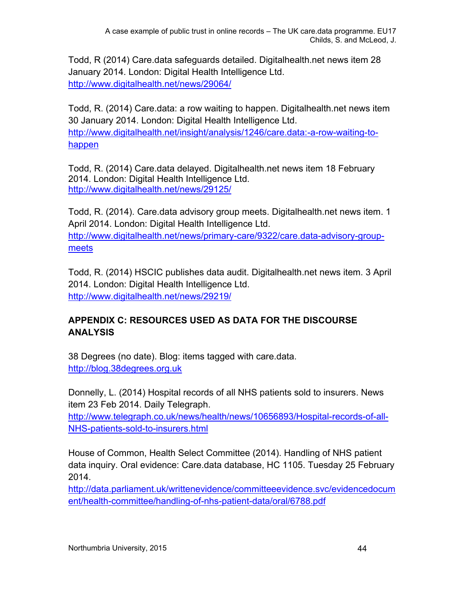Todd, R (2014) Care.data safeguards detailed. Digitalhealth.net news item 28 January 2014. London: Digital Health Intelligence Ltd. <http://www.digitalhealth.net/news/29064/>

Todd, R. (2014) Care.data: a row waiting to happen. Digitalhealth.net news item 30 January 2014. London: Digital Health Intelligence Ltd. [http://www.digitalhealth.net/insight/analysis/1246/care.data:-a-row-waiting-to](http://www.digitalhealth.net/insight/analysis/1246/care.data:-a-row-waiting-to-happen)[happen](http://www.digitalhealth.net/insight/analysis/1246/care.data:-a-row-waiting-to-happen)

Todd, R. (2014) Care.data delayed. Digitalhealth.net news item 18 February 2014. London: Digital Health Intelligence Ltd. <http://www.digitalhealth.net/news/29125/>

Todd, R. (2014). Care.data advisory group meets. Digitalhealth.net news item. 1 April 2014. London: Digital Health Intelligence Ltd.

[http://www.digitalhealth.net/news/primary-care/9322/care.data-advisory-group](http://www.digitalhealth.net/news/primary-care/9322/care.data-advisory-group-meets)[meets](http://www.digitalhealth.net/news/primary-care/9322/care.data-advisory-group-meets)

Todd, R. (2014) HSCIC publishes data audit. Digitalhealth.net news item. 3 April 2014. London: Digital Health Intelligence Ltd. <http://www.digitalhealth.net/news/29219/>

# **APPENDIX C: RESOURCES USED AS DATA FOR THE DISCOURSE ANALYSIS**

38 Degrees (no date). Blog: items tagged with care.data. [http://blog.38degrees.org.uk](http://blog.38degrees.org.uk/)

Donnelly, L. (2014) Hospital records of all NHS patients sold to insurers. News item 23 Feb 2014. Daily Telegraph.

[http://www.telegraph.co.uk/news/health/news/10656893/Hospital-records-of-all-](http://www.telegraph.co.uk/news/health/news/10656893/Hospital-records-of-all-NHS-patients-sold-to-insurers.html)[NHS-patients-sold-to-insurers.html](http://www.telegraph.co.uk/news/health/news/10656893/Hospital-records-of-all-NHS-patients-sold-to-insurers.html)

House of Common, Health Select Committee (2014). Handling of NHS patient data inquiry. Oral evidence: Care.data database, HC 1105. Tuesday 25 February 2014.

[http://data.parliament.uk/writtenevidence/committeeevidence.svc/evidencedocum](http://data.parliament.uk/writtenevidence/committeeevidence.svc/evidencedocument/health-committee/handling-of-nhs-patient-data/oral/6788.pdf) [ent/health-committee/handling-of-nhs-patient-data/oral/6788.pdf](http://data.parliament.uk/writtenevidence/committeeevidence.svc/evidencedocument/health-committee/handling-of-nhs-patient-data/oral/6788.pdf)